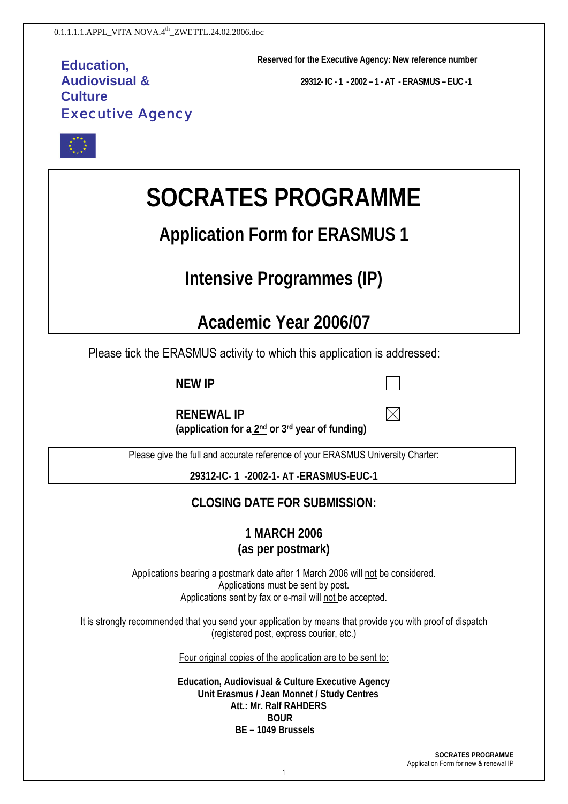## **Education, Audiovisual & Culture**  Executive Agency

**Reserved for the Executive Agency: New reference number** 

**29312- IC - 1 - 2002 – 1 - AT - ERASMUS – EUC -1** 

 $\bowtie$ 



# **SOCRATES PROGRAMME**

## **Application Form for ERASMUS 1**

## **Intensive Programmes (IP)**

## **Academic Year 2006/07**

Please tick the ERASMUS activity to which this application is addressed:

**NEW IP**

| <b>RENEWAL IP</b>                              |  |
|------------------------------------------------|--|
| (application for a 2nd or 3rd year of funding) |  |

Please give the full and accurate reference of your ERASMUS University Charter:

**29312-IC- 1 -2002-1- AT -ERASMUS-EUC-1**

## **CLOSING DATE FOR SUBMISSION:**

**1 MARCH 2006 (as per postmark)** 

Applications bearing a postmark date after 1 March 2006 will not be considered. Applications must be sent by post. Applications sent by fax or e-mail will not be accepted.

It is strongly recommended that you send your application by means that provide you with proof of dispatch (registered post, express courier, etc.)

Four original copies of the application are to be sent to:

**Education, Audiovisual & Culture Executive Agency Unit Erasmus / Jean Monnet / Study Centres Att.: Mr. Ralf RAHDERS BOUR BE – 1049 Brussels** 

> **SOCRATES PROGRAMME**  Application Form for new & renewal IP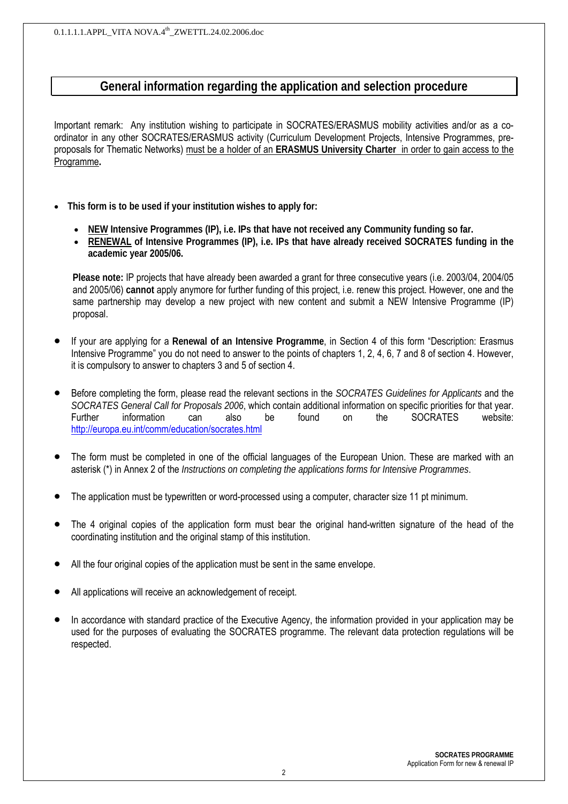## **General information regarding the application and selection procedure**

Important remark: Any institution wishing to participate in SOCRATES/ERASMUS mobility activities and/or as a coordinator in any other SOCRATES/ERASMUS activity (Curriculum Development Projects, Intensive Programmes, preproposals for Thematic Networks) must be a holder of an **ERASMUS University Charter** in order to gain access to the Programme**.** 

- **This form is to be used if your institution wishes to apply for:**
	- **NEW Intensive Programmes (IP), i.e. IPs that have not received any Community funding so far.**
	- **RENEWAL of Intensive Programmes (IP), i.e. IPs that have already received SOCRATES funding in the academic year 2005/06.**

**Please note:** IP projects that have already been awarded a grant for three consecutive years (i.e. 2003/04, 2004/05 and 2005/06) **cannot** apply anymore for further funding of this project, i.e. renew this project. However, one and the same partnership may develop a new project with new content and submit a NEW Intensive Programme (IP) proposal.

- If your are applying for a **Renewal of an Intensive Programme**, in Section 4 of this form "Description: Erasmus Intensive Programme" you do not need to answer to the points of chapters 1, 2, 4, 6, 7 and 8 of section 4. However, it is compulsory to answer to chapters 3 and 5 of section 4.
- Before completing the form, please read the relevant sections in the *SOCRATES Guidelines for Applicants* and the *SOCRATES General Call for Proposals 2006*, which contain additional information on specific priorities for that year. Further information can also be found on the SOCRATES website: http://europa.eu.int/comm/education/socrates.html
- The form must be completed in one of the official languages of the European Union. These are marked with an asterisk (\*) in Annex 2 of the *Instructions on completing the applications forms for Intensive Programmes*.
- The application must be typewritten or word-processed using a computer, character size 11 pt minimum.
- The 4 original copies of the application form must bear the original hand-written signature of the head of the coordinating institution and the original stamp of this institution.
- All the four original copies of the application must be sent in the same envelope.
- All applications will receive an acknowledgement of receipt.
- In accordance with standard practice of the Executive Agency, the information provided in your application may be used for the purposes of evaluating the SOCRATES programme. The relevant data protection regulations will be respected.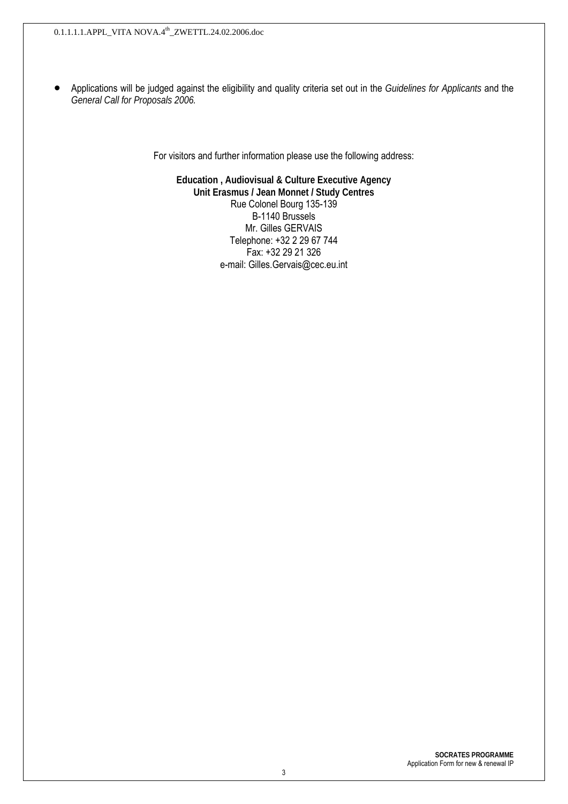• Applications will be judged against the eligibility and quality criteria set out in the *Guidelines for Applicants* and the *General Call for Proposals 2006.* 

For visitors and further information please use the following address:

**Education , Audiovisual & Culture Executive Agency Unit Erasmus / Jean Monnet / Study Centres**  Rue Colonel Bourg 135-139 B-1140 Brussels Mr. Gilles GERVAIS Telephone: +32 2 29 67 744 Fax: +32 29 21 326 e-mail: Gilles.Gervais@cec.eu.int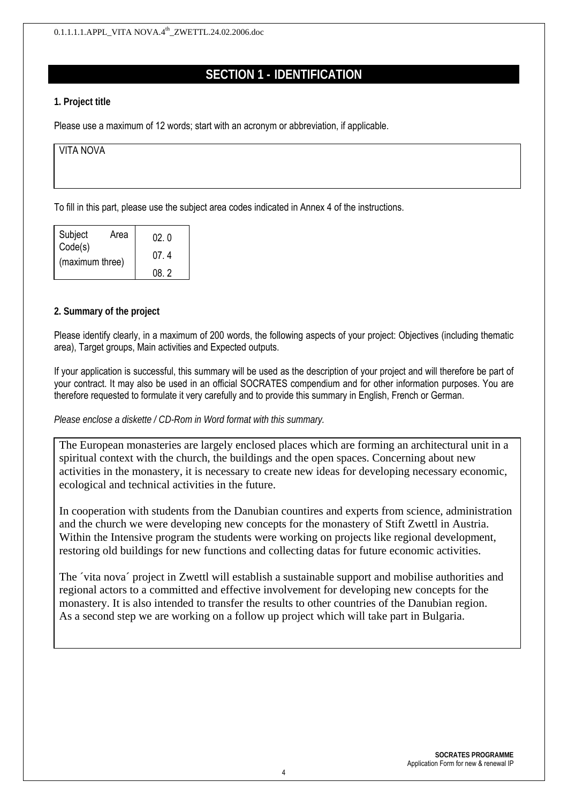## **SECTION 1 - IDENTIFICATION**

#### **1. Project title**

Please use a maximum of 12 words; start with an acronym or abbreviation, if applicable.

| VITA NOVA |  |  |  |
|-----------|--|--|--|
|           |  |  |  |
|           |  |  |  |

To fill in this part, please use the subject area codes indicated in Annex 4 of the instructions.

| Subject                    | Area | 02 O |
|----------------------------|------|------|
| Code(s)<br>(maximum three) |      | 074  |
|                            |      | O8 2 |

#### **2. Summary of the project**

Please identify clearly, in a maximum of 200 words, the following aspects of your project: Objectives (including thematic area), Target groups, Main activities and Expected outputs.

If your application is successful, this summary will be used as the description of your project and will therefore be part of your contract. It may also be used in an official SOCRATES compendium and for other information purposes. You are therefore requested to formulate it very carefully and to provide this summary in English, French or German.

#### *Please enclose a diskette / CD-Rom in Word format with this summary.*

The European monasteries are largely enclosed places which are forming an architectural unit in a spiritual context with the church, the buildings and the open spaces. Concerning about new activities in the monastery, it is necessary to create new ideas for developing necessary economic, ecological and technical activities in the future.

In cooperation with students from the Danubian countires and experts from science, administration and the church we were developing new concepts for the monastery of Stift Zwettl in Austria. Within the Intensive program the students were working on projects like regional development, restoring old buildings for new functions and collecting datas for future economic activities.

The ´vita nova´ project in Zwettl will establish a sustainable support and mobilise authorities and regional actors to a committed and effective involvement for developing new concepts for the monastery. It is also intended to transfer the results to other countries of the Danubian region. As a second step we are working on a follow up project which will take part in Bulgaria.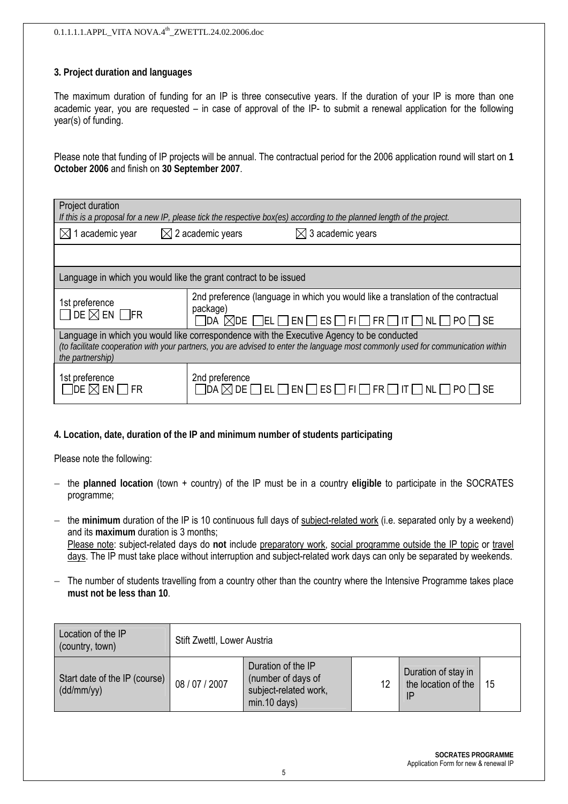#### **3. Project duration and languages**

The maximum duration of funding for an IP is three consecutive years. If the duration of your IP is more than one academic year, you are requested – in case of approval of the IP- to submit a renewal application for the following year(s) of funding.

Please note that funding of IP projects will be annual. The contractual period for the 2006 application round will start on **1 October 2006** and finish on **30 September 2007**.

| Project duration                                                                                                                                                                                                                                  | If this is a proposal for a new IP, please tick the respective box(es) according to the planned length of the project.                                                                                         |  |  |  |  |  |
|---------------------------------------------------------------------------------------------------------------------------------------------------------------------------------------------------------------------------------------------------|----------------------------------------------------------------------------------------------------------------------------------------------------------------------------------------------------------------|--|--|--|--|--|
| $\boxtimes$ 2 academic years<br>1 academic year<br>3 academic years<br>IХI                                                                                                                                                                        |                                                                                                                                                                                                                |  |  |  |  |  |
|                                                                                                                                                                                                                                                   |                                                                                                                                                                                                                |  |  |  |  |  |
| Language in which you would like the grant contract to be issued                                                                                                                                                                                  |                                                                                                                                                                                                                |  |  |  |  |  |
| 1st preference<br>$\square$ de $\boxtimes$ en $\square$ fr                                                                                                                                                                                        | 2nd preference (language in which you would like a translation of the contractual<br>package)<br>$\sqcap$ it $\sqcap$ nl $\lceil$<br>∏EL ∏ EN ∏ ES [<br>$\Box$ FI $\Box$ FR $\Box$<br>1da ⊠de i<br>PO I<br>∣SE |  |  |  |  |  |
| Language in which you would like correspondence with the Executive Agency to be conducted<br>(to facilitate cooperation with your partners, you are advised to enter the language most commonly used for communication within<br>the partnership) |                                                                                                                                                                                                                |  |  |  |  |  |
| 1st preference<br>Tde $\boxtimes$ en<br>I FR                                                                                                                                                                                                      | 2nd preference<br>$\exists$ da $\boxtimes$ de l<br>$\overline{\phantom{a}}$ NL<br> ES <br>EL I<br> EN <br>- I FI I<br> FR                                                                                      |  |  |  |  |  |

#### **4. Location, date, duration of the IP and minimum number of students participating**

Please note the following:

- − the **planned location** (town + country) of the IP must be in a country **eligible** to participate in the SOCRATES programme;
- − the **minimum** duration of the IP is 10 continuous full days of subject-related work (i.e. separated only by a weekend) and its **maximum** duration is 3 months; Please note: subject-related days do **not** include preparatory work, social programme outside the IP topic or travel days. The IP must take place without interruption and subject-related work days can only be separated by weekends.
- − The number of students travelling from a country other than the country where the Intensive Programme takes place **must not be less than 10**.

| Location of the IP<br>(country, town)       | Stift Zwettl, Lower Austria |                                                                                     |    |                                            |    |  |  |  |
|---------------------------------------------|-----------------------------|-------------------------------------------------------------------------------------|----|--------------------------------------------|----|--|--|--|
| Start date of the IP (course)<br>(dd/mm/yy) | 08 / 07 / 2007              | Duration of the IP<br>(number of days of<br>subject-related work,<br>$min.10$ days) | 12 | Duration of stay in<br>the location of the | 15 |  |  |  |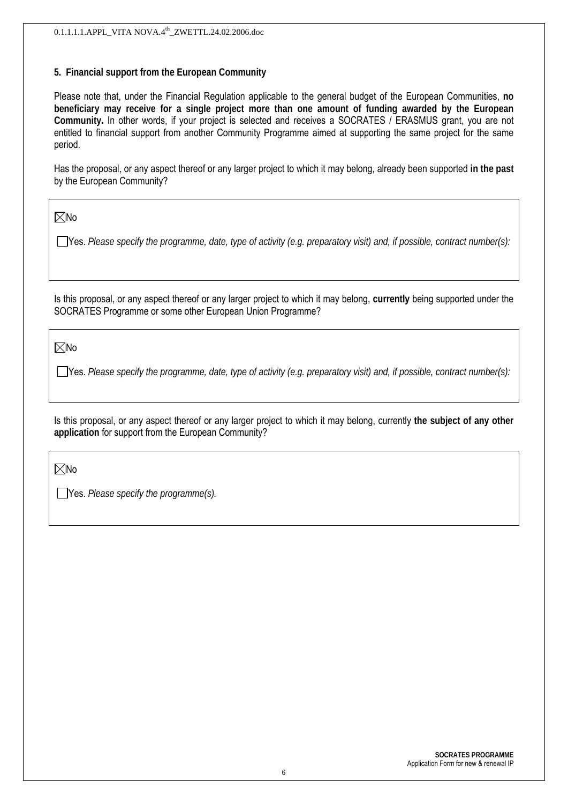#### **5. Financial support from the European Community**

Please note that, under the Financial Regulation applicable to the general budget of the European Communities, **no beneficiary may receive for a single project more than one amount of funding awarded by the European Community.** In other words, if your project is selected and receives a SOCRATES / ERASMUS grant, you are not entitled to financial support from another Community Programme aimed at supporting the same project for the same period.

Has the proposal, or any aspect thereof or any larger project to which it may belong, already been supported **in the past**  by the European Community?

 $\nabla$ No

Yes. *Please specify the programme, date, type of activity (e.g. preparatory visit) and, if possible, contract number(s):*

Is this proposal, or any aspect thereof or any larger project to which it may belong, **currently** being supported under the SOCRATES Programme or some other European Union Programme?

 $\nabla$ No

Yes. *Please specify the programme, date, type of activity (e.g. preparatory visit) and, if possible, contract number(s):*

Is this proposal, or any aspect thereof or any larger project to which it may belong, currently **the subject of any other application** for support from the European Community?

 $\nabla$ No

Yes. *Please specify the programme(s).*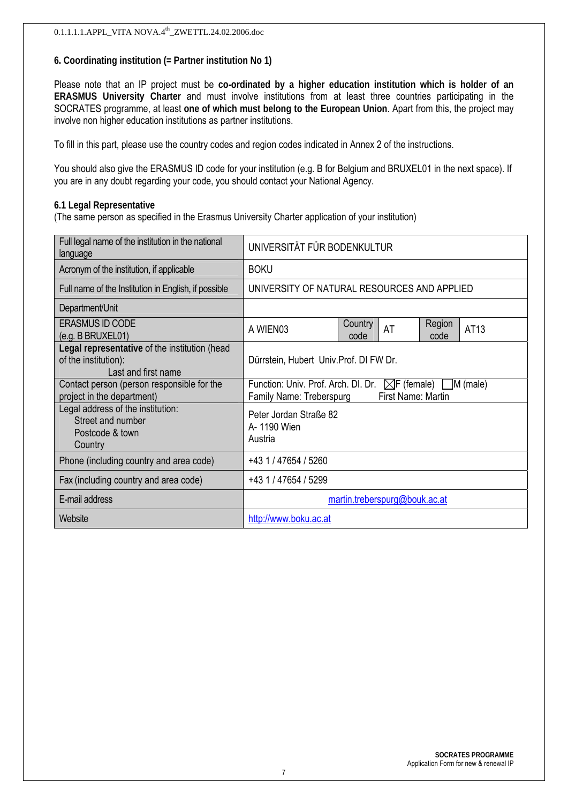#### **6. Coordinating institution (= Partner institution No 1)**

Please note that an IP project must be **co-ordinated by a higher education institution which is holder of an ERASMUS University Charter** and must involve institutions from at least three countries participating in the SOCRATES programme, at least **one of which must belong to the European Union**. Apart from this, the project may involve non higher education institutions as partner institutions.

To fill in this part, please use the country codes and region codes indicated in Annex 2 of the instructions.

You should also give the ERASMUS ID code for your institution (e.g. B for Belgium and BRUXEL01 in the next space). If you are in any doubt regarding your code, you should contact your National Agency.

#### **6.1 Legal Representative**

(The same person as specified in the Erasmus University Charter application of your institution)

| Full legal name of the institution in the national<br>language                               | UNIVERSITÄT FÜR BODENKULTUR                                                                                              |  |  |  |  |  |  |
|----------------------------------------------------------------------------------------------|--------------------------------------------------------------------------------------------------------------------------|--|--|--|--|--|--|
| Acronym of the institution, if applicable                                                    | <b>BOKU</b>                                                                                                              |  |  |  |  |  |  |
| Full name of the Institution in English, if possible                                         | UNIVERSITY OF NATURAL RESOURCES AND APPLIED                                                                              |  |  |  |  |  |  |
| Department/Unit                                                                              |                                                                                                                          |  |  |  |  |  |  |
| <b>ERASMUS ID CODE</b><br>(e.g. B BRUXEL01)                                                  | Region<br>Country<br>AT<br>AT13<br>A WIEN03<br>code<br>code                                                              |  |  |  |  |  |  |
| Legal representative of the institution (head<br>of the institution):<br>Last and first name | Dürrstein, Hubert Univ. Prof. DI FW Dr.                                                                                  |  |  |  |  |  |  |
| Contact person (person responsible for the<br>project in the department)                     | Function: Univ. Prof. Arch. DI. Dr.<br>$\boxtimes$ F (female) M (male)<br>First Name: Martin<br>Family Name: Treberspurg |  |  |  |  |  |  |
| Legal address of the institution:<br>Street and number<br>Postcode & town<br>Country         | Peter Jordan Straße 82<br>A- 1190 Wien<br>Austria                                                                        |  |  |  |  |  |  |
| Phone (including country and area code)                                                      | +43 1 / 47654 / 5260                                                                                                     |  |  |  |  |  |  |
| Fax (including country and area code)                                                        | +43 1 / 47654 / 5299                                                                                                     |  |  |  |  |  |  |
| E-mail address                                                                               | martin.treberspurg@bouk.ac.at                                                                                            |  |  |  |  |  |  |
| Website                                                                                      | http://www.boku.ac.at                                                                                                    |  |  |  |  |  |  |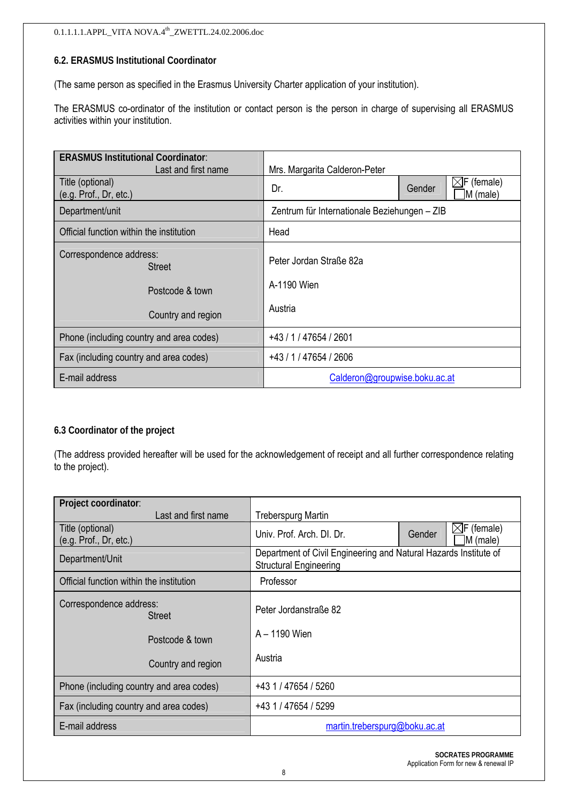#### $0.1.1.1.1$  APPL\_VITA NOVA. $4^{\text{th}}$ \_ZWETTL.24.02.2006.doc

#### **6.2. ERASMUS Institutional Coordinator**

(The same person as specified in the Erasmus University Charter application of your institution).

The ERASMUS co-ordinator of the institution or contact person is the person in charge of supervising all ERASMUS activities within your institution.

| <b>ERASMUS Institutional Coordinator:</b> |                                                         |                    |  |  |  |
|-------------------------------------------|---------------------------------------------------------|--------------------|--|--|--|
| Last and first name<br>Title (optional)   | Mrs. Margarita Calderon-Peter<br>$\boxtimes$ F (female) |                    |  |  |  |
| (e.g. Prof., Dr, etc.)                    | Dr.                                                     | Gender<br>M (male) |  |  |  |
| Department/unit                           | Zentrum für Internationale Beziehungen - ZIB            |                    |  |  |  |
| Official function within the institution  | Head                                                    |                    |  |  |  |
| Correspondence address:<br><b>Street</b>  | Peter Jordan Straße 82a                                 |                    |  |  |  |
| Postcode & town                           | A-1190 Wien                                             |                    |  |  |  |
| Country and region                        | Austria                                                 |                    |  |  |  |
| Phone (including country and area codes)  | +43 / 1 / 47654 / 2601                                  |                    |  |  |  |
| Fax (including country and area codes)    | +43 / 1 / 47654 / 2606                                  |                    |  |  |  |
| E-mail address                            | Calderon@groupwise.boku.ac.at                           |                    |  |  |  |

#### **6.3 Coordinator of the project**

(The address provided hereafter will be used for the acknowledgement of receipt and all further correspondence relating to the project).

| Project coordinator:                       |                                                                                                   |  |  |  |  |
|--------------------------------------------|---------------------------------------------------------------------------------------------------|--|--|--|--|
| Last and first name                        | <b>Treberspurg Martin</b>                                                                         |  |  |  |  |
| Title (optional)<br>(e.g. Prof., Dr, etc.) | $\boxtimes$ F (female)<br>Univ. Prof. Arch. DI. Dr.<br>Gender<br>M (male)                         |  |  |  |  |
| Department/Unit                            | Department of Civil Engineering and Natural Hazards Institute of<br><b>Structural Engineering</b> |  |  |  |  |
| Official function within the institution   | Professor                                                                                         |  |  |  |  |
| Correspondence address:<br><b>Street</b>   | Peter Jordanstraße 82                                                                             |  |  |  |  |
| Postcode & town                            | A - 1190 Wien                                                                                     |  |  |  |  |
| Country and region                         | Austria                                                                                           |  |  |  |  |
| Phone (including country and area codes)   | +43 1 / 47654 / 5260                                                                              |  |  |  |  |
| Fax (including country and area codes)     | +43 1 / 47654 / 5299                                                                              |  |  |  |  |
| E-mail address                             | martin.treberspurg@boku.ac.at                                                                     |  |  |  |  |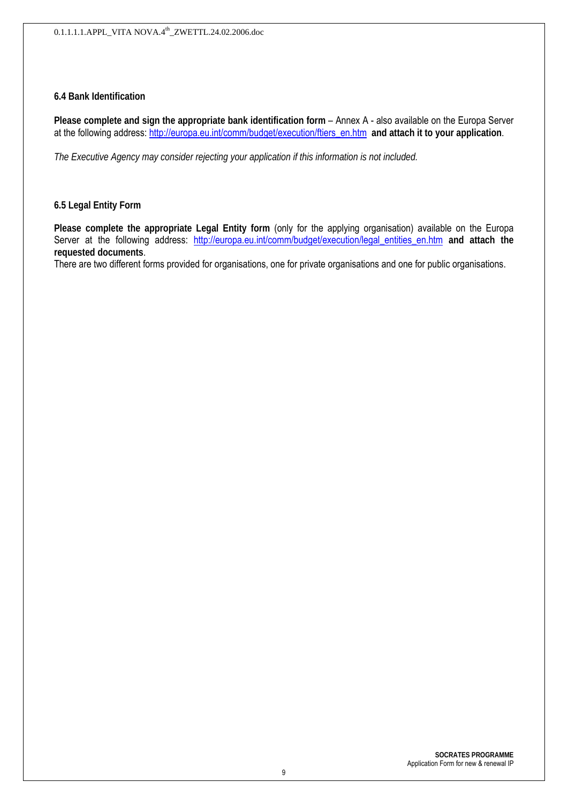#### **6.4 Bank Identification**

**Please complete and sign the appropriate bank identification form** – Annex A - also available on the Europa Server at the following address: http://europa.eu.int/comm/budget/execution/ftiers\_en.htm **and attach it to your application**.

*The Executive Agency may consider rejecting your application if this information is not included.*

#### **6.5 Legal Entity Form**

**Please complete the appropriate Legal Entity form** (only for the applying organisation) available on the Europa Server at the following address: http://europa.eu.int/comm/budget/execution/legal entities en.htm and attach the **requested documents**.

There are two different forms provided for organisations, one for private organisations and one for public organisations.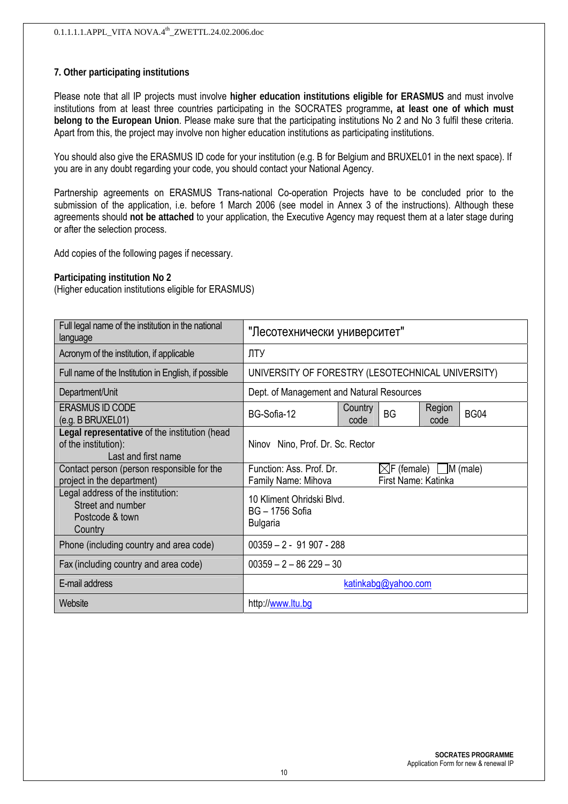#### **7. Other participating institutions**

Please note that all IP projects must involve **higher education institutions eligible for ERASMUS** and must involve institutions from at least three countries participating in the SOCRATES programme**, at least one of which must belong to the European Union**. Please make sure that the participating institutions No 2 and No 3 fulfil these criteria. Apart from this, the project may involve non higher education institutions as participating institutions.

You should also give the ERASMUS ID code for your institution (e.g. B for Belgium and BRUXEL01 in the next space). If you are in any doubt regarding your code, you should contact your National Agency.

Partnership agreements on ERASMUS Trans-national Co-operation Projects have to be concluded prior to the submission of the application, i.e. before 1 March 2006 (see model in Annex 3 of the instructions). Although these agreements should **not be attached** to your application, the Executive Agency may request them at a later stage during or after the selection process.

Add copies of the following pages if necessary.

#### **Participating institution No 2**

(Higher education institutions eligible for ERASMUS)

| Full legal name of the institution in the national<br>language                               | "Лесотехнически университет"                                                 |                                                   |                                                        |  |  |  |
|----------------------------------------------------------------------------------------------|------------------------------------------------------------------------------|---------------------------------------------------|--------------------------------------------------------|--|--|--|
| Acronym of the institution, if applicable                                                    | ЛТУ                                                                          |                                                   |                                                        |  |  |  |
| Full name of the Institution in English, if possible                                         |                                                                              | UNIVERSITY OF FORESTRY (LESOTECHNICAL UNIVERSITY) |                                                        |  |  |  |
| Department/Unit                                                                              | Dept. of Management and Natural Resources                                    |                                                   |                                                        |  |  |  |
| <b>ERASMUS ID CODE</b><br>$(e.g.$ B BRUXEL01)                                                | Region<br>Country<br><b>BG</b><br><b>BG04</b><br>BG-Sofia-12<br>code<br>code |                                                   |                                                        |  |  |  |
| Legal representative of the institution (head<br>of the institution):<br>Last and first name | Ninov Nino, Prof. Dr. Sc. Rector                                             |                                                   |                                                        |  |  |  |
| Contact person (person responsible for the<br>project in the department)                     | Function: Ass. Prof. Dr.<br>Family Name: Mihova                              |                                                   | $\boxtimes$ F (female) M (male)<br>First Name: Katinka |  |  |  |
| Legal address of the institution:<br>Street and number<br>Postcode & town<br>Country         | 10 Kliment Ohridski Blvd.<br><b>BG-1756 Sofia</b><br><b>Bulgaria</b>         |                                                   |                                                        |  |  |  |
| Phone (including country and area code)                                                      | $00359 - 2 - 91907 - 288$                                                    |                                                   |                                                        |  |  |  |
| Fax (including country and area code)                                                        | $00359 - 2 - 86229 - 30$                                                     |                                                   |                                                        |  |  |  |
| E-mail address                                                                               | katinkabg@yahoo.com                                                          |                                                   |                                                        |  |  |  |
| Website                                                                                      | http://www.ltu.bg                                                            |                                                   |                                                        |  |  |  |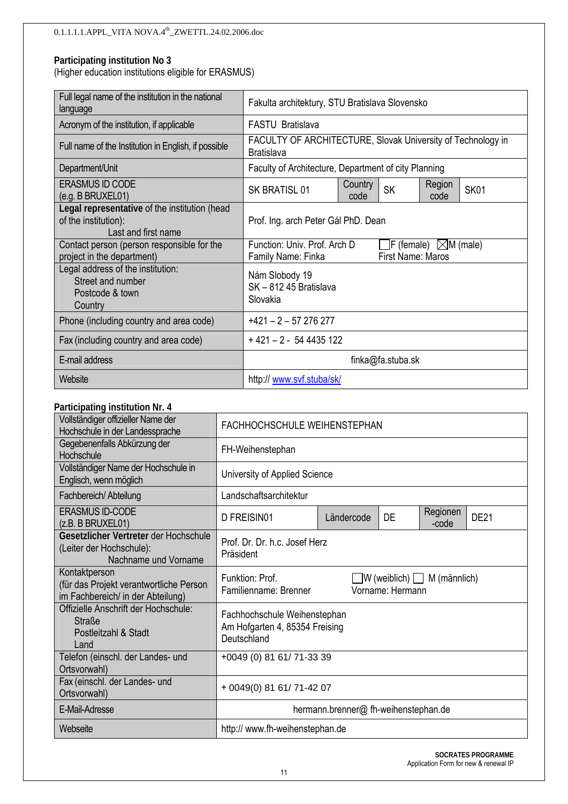(Higher education institutions eligible for ERASMUS)

| Full legal name of the institution in the national<br>language                               | Fakulta architektury, STU Bratislava Slovensko                                                                              |  |  |  |  |  |
|----------------------------------------------------------------------------------------------|-----------------------------------------------------------------------------------------------------------------------------|--|--|--|--|--|
| Acronym of the institution, if applicable                                                    | FASTU Bratislava                                                                                                            |  |  |  |  |  |
| Full name of the Institution in English, if possible                                         | FACULTY OF ARCHITECTURE, Slovak University of Technology in<br><b>Bratislava</b>                                            |  |  |  |  |  |
| Department/Unit                                                                              | Faculty of Architecture, Department of city Planning                                                                        |  |  |  |  |  |
| <b>ERASMUS ID CODE</b><br>(e.g. B BRUXEL01)                                                  | Region<br>Country<br><b>SK</b><br><b>SK01</b><br>SK BRATISL 01<br>code<br>code                                              |  |  |  |  |  |
| Legal representative of the institution (head<br>of the institution):<br>Last and first name | Prof. Ing. arch Peter Gál PhD. Dean                                                                                         |  |  |  |  |  |
| Contact person (person responsible for the<br>project in the department)                     | $\exists$ F (female) $\boxtimes$ M (male)<br>Function: Univ. Prof. Arch D<br><b>First Name: Maros</b><br>Family Name: Finka |  |  |  |  |  |
| Legal address of the institution:<br>Street and number<br>Postcode & town<br>Country         | Nám Slobody 19<br>SK-81245 Bratislava<br>Slovakia                                                                           |  |  |  |  |  |
| Phone (including country and area code)                                                      | $+421 - 2 - 57276277$                                                                                                       |  |  |  |  |  |
| Fax (including country and area code)                                                        | $+421 - 2 - 544435122$                                                                                                      |  |  |  |  |  |
| E-mail address                                                                               | finka@fa.stuba.sk                                                                                                           |  |  |  |  |  |
| Website                                                                                      | http://www.svf.stuba/sk/                                                                                                    |  |  |  |  |  |

#### **Participating institution Nr. 4**

| Vollständiger offizieller Name der<br>Hochschule in der Landessprache                         | FACHHOCHSCHULE WEIHENSTEPHAN                                                                            |            |    |                   |             |  |  |
|-----------------------------------------------------------------------------------------------|---------------------------------------------------------------------------------------------------------|------------|----|-------------------|-------------|--|--|
| Gegebenenfalls Abkürzung der<br>Hochschule                                                    | FH-Weihenstephan                                                                                        |            |    |                   |             |  |  |
| Vollständiger Name der Hochschule in<br>Englisch, wenn möglich                                | University of Applied Science                                                                           |            |    |                   |             |  |  |
| Fachbereich/ Abteilung                                                                        | Landschaftsarchitektur                                                                                  |            |    |                   |             |  |  |
| <b>ERASMUS ID-CODE</b><br>(z.B. B BRUXEL01)                                                   | D FREISIN01                                                                                             | Ländercode | DE | Regionen<br>-code | <b>DE21</b> |  |  |
| Gesetzlicher Vertreter der Hochschule<br>(Leiter der Hochschule):<br>Nachname und Vorname     | Prof. Dr. Dr. h.c. Josef Herz<br>Präsident                                                              |            |    |                   |             |  |  |
| Kontaktperson<br>(für das Projekt verantwortliche Person<br>im Fachbereich/ in der Abteilung) | Funktion: Prof.<br>$\Box$ W (weiblich) $\Box$ M (männlich)<br>Vorname: Hermann<br>Familienname: Brenner |            |    |                   |             |  |  |
| Offizielle Anschrift der Hochschule:<br><b>Straße</b><br>Postleitzahl & Stadt<br>Land         | Fachhochschule Weihenstephan<br>Am Hofgarten 4, 85354 Freising<br>Deutschland                           |            |    |                   |             |  |  |
| Telefon (einschl. der Landes- und<br>Ortsvorwahl)                                             | +0049 (0) 81 61/ 71-33 39                                                                               |            |    |                   |             |  |  |
| Fax (einschl. der Landes- und<br>Ortsvorwahl)                                                 | + 0049(0) 81 61/ 71-42 07                                                                               |            |    |                   |             |  |  |
| E-Mail-Adresse                                                                                | hermann.brenner@ fh-weihenstephan.de                                                                    |            |    |                   |             |  |  |
| Webseite                                                                                      | http:// www.fh-weihenstephan.de                                                                         |            |    |                   |             |  |  |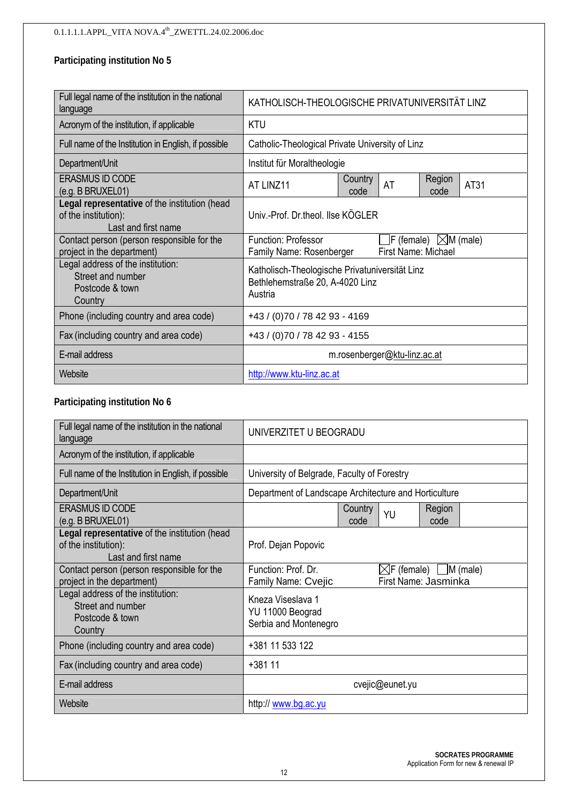| Full legal name of the institution in the national<br>language                               | KATHOLISCH-THEOLOGISCHE PRIVATUNIVERSITÄT LINZ                                               |  |                     |                                                  |  |  |  |
|----------------------------------------------------------------------------------------------|----------------------------------------------------------------------------------------------|--|---------------------|--------------------------------------------------|--|--|--|
| Acronym of the institution, if applicable                                                    | <b>KTU</b>                                                                                   |  |                     |                                                  |  |  |  |
| Full name of the Institution in English, if possible                                         | Catholic-Theological Private University of Linz                                              |  |                     |                                                  |  |  |  |
| Department/Unit                                                                              | Institut für Moraltheologie                                                                  |  |                     |                                                  |  |  |  |
| <b>ERASMUS ID CODE</b><br>(e.g. B BRUXEL01)                                                  | Country<br>Region<br>AT<br>AT31<br>AT LINZ11<br>code<br>code                                 |  |                     |                                                  |  |  |  |
| Legal representative of the institution (head<br>of the institution):<br>Last and first name | Univ.-Prof. Dr.theol. Ilse KÖGLER                                                            |  |                     |                                                  |  |  |  |
| Contact person (person responsible for the<br>project in the department)                     | <b>Function: Professor</b><br>Family Name: Rosenberger                                       |  | First Name: Michael | $\mathsf{F}$ (female) $\mathbb{\times}$ M (male) |  |  |  |
| Legal address of the institution:<br>Street and number<br>Postcode & town<br>Country         | Katholisch-Theologische Privatuniversität Linz<br>Bethlehemstraße 20, A-4020 Linz<br>Austria |  |                     |                                                  |  |  |  |
| Phone (including country and area code)                                                      | +43 / (0)70 / 78 42 93 - 4169                                                                |  |                     |                                                  |  |  |  |
| Fax (including country and area code)                                                        | +43 / (0)70 / 78 42 93 - 4155                                                                |  |                     |                                                  |  |  |  |
| E-mail address                                                                               | m.rosenberger@ktu-linz.ac.at                                                                 |  |                     |                                                  |  |  |  |
| Website                                                                                      | http://www.ktu-linz.ac.at                                                                    |  |                     |                                                  |  |  |  |

#### **Participating institution No 6**

| Full legal name of the institution in the national<br>language                               | UNIVERZITET U BEOGRADU                                                                                |  |  |  |  |
|----------------------------------------------------------------------------------------------|-------------------------------------------------------------------------------------------------------|--|--|--|--|
| Acronym of the institution, if applicable                                                    |                                                                                                       |  |  |  |  |
| Full name of the Institution in English, if possible                                         | University of Belgrade, Faculty of Forestry                                                           |  |  |  |  |
| Department/Unit                                                                              | Department of Landscape Architecture and Horticulture                                                 |  |  |  |  |
| <b>ERASMUS ID CODE</b><br>(e.g. B BRUXEL01)                                                  | Country<br>Region<br>YU<br>code<br>code                                                               |  |  |  |  |
| Legal representative of the institution (head<br>of the institution):<br>Last and first name | Prof. Dejan Popovic                                                                                   |  |  |  |  |
| Contact person (person responsible for the<br>project in the department)                     | Function: Prof. Dr.<br>$\boxtimes$ F (female) M (male)<br>First Name: Jasminka<br>Family Name: Cvejic |  |  |  |  |
| Legal address of the institution:<br>Street and number<br>Postcode & town<br>Country         | Kneza Viseslava 1<br>YU 11000 Beograd<br>Serbia and Montenegro                                        |  |  |  |  |
| Phone (including country and area code)                                                      | +381 11 533 122                                                                                       |  |  |  |  |
| Fax (including country and area code)                                                        | $+38111$                                                                                              |  |  |  |  |
| E-mail address                                                                               | cvejic@eunet.yu                                                                                       |  |  |  |  |
| Website                                                                                      | http:// www.bg.ac.yu                                                                                  |  |  |  |  |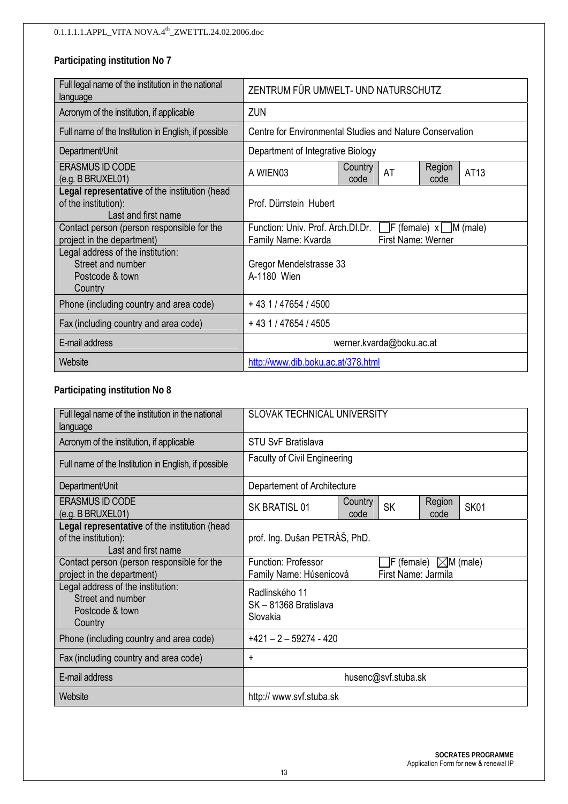| Full legal name of the institution in the national<br>language                               |                                                                                                                       | ZENTRUM FÜR UMWELT- UND NATURSCHUTZ                      |  |  |  |  |
|----------------------------------------------------------------------------------------------|-----------------------------------------------------------------------------------------------------------------------|----------------------------------------------------------|--|--|--|--|
| Acronym of the institution, if applicable                                                    | ZUN                                                                                                                   |                                                          |  |  |  |  |
| Full name of the Institution in English, if possible                                         |                                                                                                                       | Centre for Environmental Studies and Nature Conservation |  |  |  |  |
| Department/Unit                                                                              | Department of Integrative Biology                                                                                     |                                                          |  |  |  |  |
| <b>ERASMUS ID CODE</b><br>(e.g. B BRUXEL01)                                                  | Country<br>Region<br>AT<br>AT13<br>A WIEN03<br>code<br>code                                                           |                                                          |  |  |  |  |
| Legal representative of the institution (head<br>of the institution):<br>Last and first name | Prof. Dürrstein Hubert                                                                                                |                                                          |  |  |  |  |
| Contact person (person responsible for the<br>project in the department)                     | Function: Univ. Prof. Arch.DI.Dr.<br>$\Box$ F (female) $x \Box M$ (male)<br>First Name: Werner<br>Family Name: Kvarda |                                                          |  |  |  |  |
| Legal address of the institution:<br>Street and number<br>Postcode & town<br>Country         | Gregor Mendelstrasse 33<br>A-1180 Wien                                                                                |                                                          |  |  |  |  |
| Phone (including country and area code)                                                      | $+431/47654/4500$                                                                                                     |                                                          |  |  |  |  |
| Fax (including country and area code)                                                        | $+431/47654/4505$                                                                                                     |                                                          |  |  |  |  |
| E-mail address                                                                               | werner.kvarda@boku.ac.at                                                                                              |                                                          |  |  |  |  |
| Website                                                                                      | http://www.dib.boku.ac.at/378.html                                                                                    |                                                          |  |  |  |  |

#### **Participating institution No 8**

| Full legal name of the institution in the national<br>language                               | <b>SLOVAK TECHNICAL UNIVERSITY</b>                                                                         |  |  |  |  |
|----------------------------------------------------------------------------------------------|------------------------------------------------------------------------------------------------------------|--|--|--|--|
| Acronym of the institution, if applicable                                                    | <b>STU SvF Bratislava</b>                                                                                  |  |  |  |  |
| Full name of the Institution in English, if possible                                         | <b>Faculty of Civil Engineering</b>                                                                        |  |  |  |  |
| Department/Unit                                                                              | Departement of Architecture                                                                                |  |  |  |  |
| <b>ERASMUS ID CODE</b><br>(e.g. B BRUXEL01)                                                  | Region<br>Country<br><b>SK</b><br><b>SK01</b><br>SK BRATISL 01<br>code<br>code                             |  |  |  |  |
| Legal representative of the institution (head<br>of the institution):<br>Last and first name | prof. Ing. Dušan PETRÁŠ, PhD.                                                                              |  |  |  |  |
| Contact person (person responsible for the<br>project in the department)                     | Function: Professor<br>$\Box$ F (female) $\Box$ M (male)<br>First Name: Jarmila<br>Family Name: Húsenicová |  |  |  |  |
| Legal address of the institution:<br>Street and number<br>Postcode & town<br>Country         | Radlinského 11<br>SK-81368 Bratislava<br>Slovakia                                                          |  |  |  |  |
| Phone (including country and area code)                                                      | $+421 - 2 - 59274 - 420$                                                                                   |  |  |  |  |
| Fax (including country and area code)                                                        | +                                                                                                          |  |  |  |  |
| E-mail address                                                                               | husenc@svf.stuba.sk                                                                                        |  |  |  |  |
| Website                                                                                      | http:// www.svf.stuba.sk                                                                                   |  |  |  |  |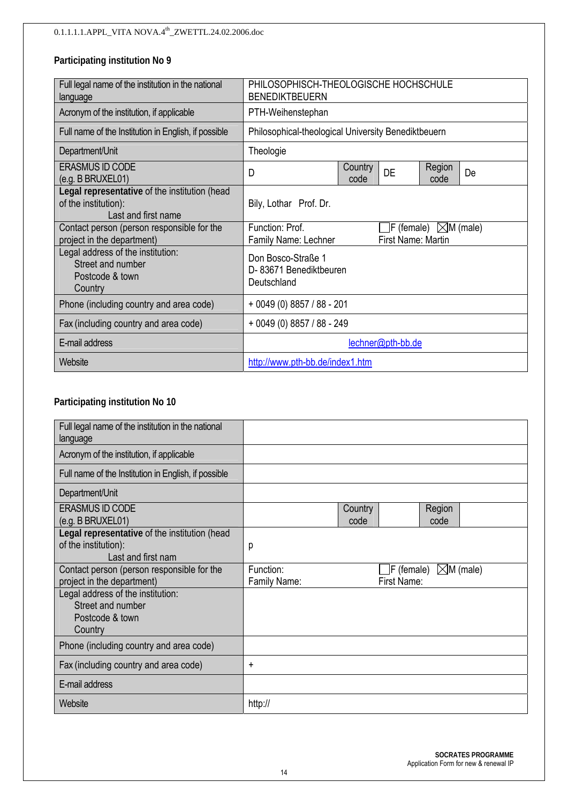| Full legal name of the institution in the national<br>language                               | <b>BENEDIKTBEUERN</b>                                                                                      | PHILOSOPHISCH-THEOLOGISCHE HOCHSCHULE |  |  |  |  |
|----------------------------------------------------------------------------------------------|------------------------------------------------------------------------------------------------------------|---------------------------------------|--|--|--|--|
| Acronym of the institution, if applicable                                                    | PTH-Weihenstephan                                                                                          |                                       |  |  |  |  |
| Full name of the Institution in English, if possible                                         | Philosophical-theological University Benediktbeuern                                                        |                                       |  |  |  |  |
| Department/Unit                                                                              | Theologie                                                                                                  |                                       |  |  |  |  |
| <b>ERASMUS ID CODE</b><br>(e.g. B BRUXEL01)                                                  | Region<br>Country<br><b>DE</b><br>D<br>De<br>code<br>code                                                  |                                       |  |  |  |  |
| Legal representative of the institution (head<br>of the institution):<br>Last and first name | Bily, Lothar Prof. Dr.                                                                                     |                                       |  |  |  |  |
| Contact person (person responsible for the<br>project in the department)                     | Function: Prof.<br>$\vert$ F (female) $\vert\angle$ M (male)<br>First Name: Martin<br>Family Name: Lechner |                                       |  |  |  |  |
| Legal address of the institution:<br>Street and number<br>Postcode & town<br>Country         | Don Bosco-Straße 1<br>D- 83671 Benediktbeuren<br>Deutschland                                               |                                       |  |  |  |  |
| Phone (including country and area code)                                                      | $+0049(0)8857/88 - 201$                                                                                    |                                       |  |  |  |  |
| Fax (including country and area code)                                                        | $+0049(0)8857/88 - 249$                                                                                    |                                       |  |  |  |  |
| E-mail address                                                                               | lechner@pth-bb.de                                                                                          |                                       |  |  |  |  |
| Website                                                                                      | http://www.pth-bb.de/index1.htm                                                                            |                                       |  |  |  |  |

#### **Participating institution No 10**

| Full legal name of the institution in the national<br>language                              |                           |                 |                                           |  |
|---------------------------------------------------------------------------------------------|---------------------------|-----------------|-------------------------------------------|--|
| Acronym of the institution, if applicable                                                   |                           |                 |                                           |  |
| Full name of the Institution in English, if possible                                        |                           |                 |                                           |  |
| Department/Unit                                                                             |                           |                 |                                           |  |
| <b>ERASMUS ID CODE</b><br>(e.g. B BRUXEL01)                                                 |                           | Country<br>code | Region<br>code                            |  |
| Legal representative of the institution (head<br>of the institution):<br>Last and first nam | р                         |                 |                                           |  |
| Contact person (person responsible for the<br>project in the department)                    | Function:<br>Family Name: | First Name:     | $\exists$ F (female) $\boxtimes$ M (male) |  |
| Legal address of the institution:<br>Street and number<br>Postcode & town<br>Country        |                           |                 |                                           |  |
| Phone (including country and area code)                                                     |                           |                 |                                           |  |
| Fax (including country and area code)                                                       | $\ddot{}$                 |                 |                                           |  |
| E-mail address                                                                              |                           |                 |                                           |  |
| Website                                                                                     | http://                   |                 |                                           |  |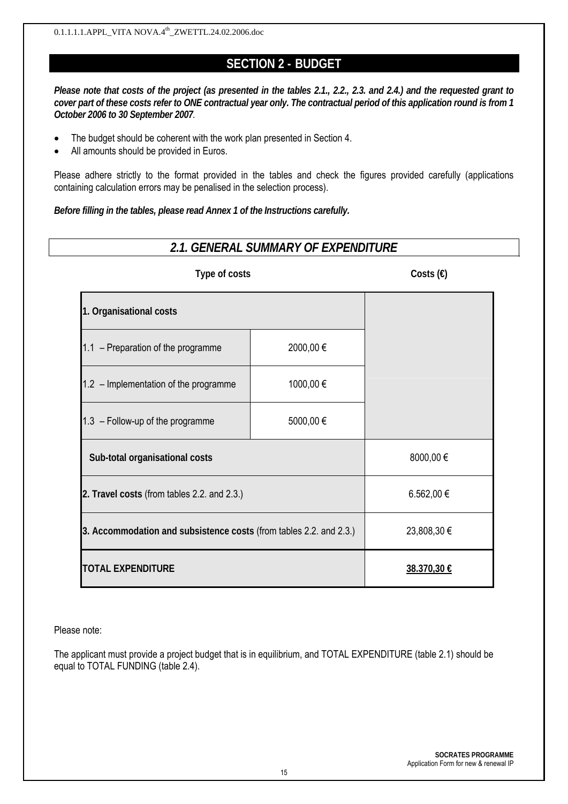## **SECTION 2 - BUDGET**

*Please note that costs of the project (as presented in the tables 2.1., 2.2., 2.3. and 2.4.) and the requested grant to cover part of these costs refer to ONE contractual year only. The contractual period of this application round is from 1 October 2006 to 30 September 2007.*

- The budget should be coherent with the work plan presented in Section 4.
- All amounts should be provided in Euros.

Please adhere strictly to the format provided in the tables and check the figures provided carefully (applications containing calculation errors may be penalised in the selection process).

*Before filling in the tables, please read Annex 1 of the Instructions carefully.*

## *2.1. GENERAL SUMMARY OF EXPENDITURE*

| Type of costs                                                      | Costs $(\epsilon)$ |             |
|--------------------------------------------------------------------|--------------------|-------------|
| 1. Organisational costs                                            |                    |             |
| 1.1 - Preparation of the programme                                 | 2000,00€           |             |
| $1.2$ – Implementation of the programme                            | 1000,00 €          |             |
| $1.3$ – Follow-up of the programme                                 | 5000,00 €          |             |
| Sub-total organisational costs                                     | 8000,00€           |             |
| 2. Travel costs (from tables 2.2. and 2.3.)                        | 6.562,00 €         |             |
| 3. Accommodation and subsistence costs (from tables 2.2. and 2.3.) |                    | 23,808,30 € |
| <b>TOTAL EXPENDITURE</b>                                           |                    | 38.370,30 € |

Please note:

The applicant must provide a project budget that is in equilibrium, and TOTAL EXPENDITURE (table 2.1) should be equal to TOTAL FUNDING (table 2.4).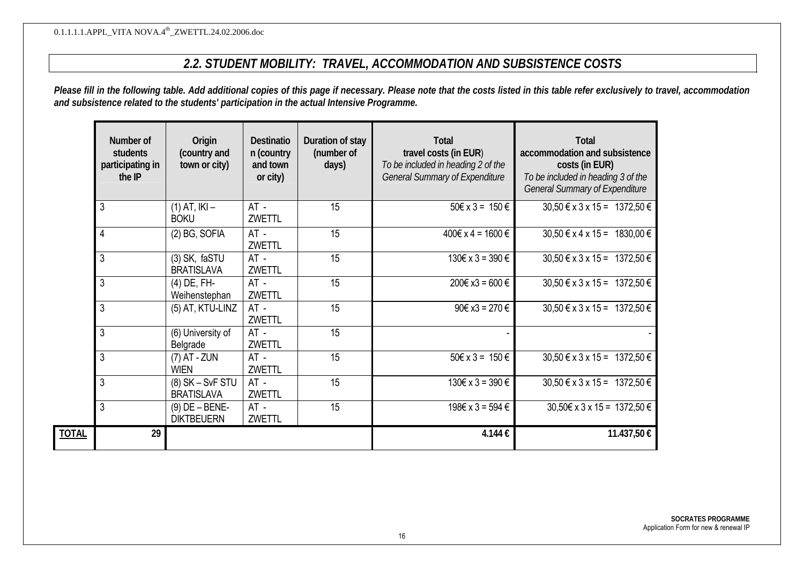## *2.2. STUDENT MOBILITY: TRAVEL, ACCOMMODATION AND SUBSISTENCE COSTS*

*Please fill in the following table. Add additional copies of this page if necessary. Please note that the costs listed in this table refer exclusively to travel, accommodation and subsistence related to the students' participation in the actual Intensive Programme.* 

|              | Number of<br>students<br>participating in<br>the IP | Origin<br>(country and<br>town or city) | <b>Destinatio</b><br>n (country<br>and town<br>or city) | Duration of stay<br>(number of<br>days) | <b>Total</b><br>travel costs (in EUR)<br>To be included in heading 2 of the<br><b>General Summary of Expenditure</b> | <b>Total</b><br>accommodation and subsistence<br>costs (in EUR)<br>To be included in heading 3 of the<br><b>General Summary of Expenditure</b> |
|--------------|-----------------------------------------------------|-----------------------------------------|---------------------------------------------------------|-----------------------------------------|----------------------------------------------------------------------------------------------------------------------|------------------------------------------------------------------------------------------------------------------------------------------------|
|              | 3                                                   | $(1)$ AT, $ K $ –<br><b>BOKU</b>        | $AT -$<br>ZWETTL                                        | 15                                      | $50 \in x 3 = 150 \in$                                                                                               | $30,50 \in x 3 x 15 = 1372,50 \in$                                                                                                             |
|              | $\overline{4}$                                      | (2) BG, SOFIA                           | $AT -$<br>ZWETTL                                        | 15                                      | 400€ x 4 = 1600 €                                                                                                    | $30,50 \in x 4 x 15 = 1830,00 \in$                                                                                                             |
|              | 3                                                   | (3) SK, faSTU<br><b>BRATISLAVA</b>      | $AT -$<br><b>ZWETTL</b>                                 | 15                                      | $130€ \times 3 = 390 €$                                                                                              | $30,50 \in x 3 x 15 = 1372,50 \in$                                                                                                             |
|              | 3                                                   | (4) DE, FH-<br>Weihenstephan            | $AT -$<br>ZWETTL                                        | 15                                      | 200€ x3 = 600 €                                                                                                      | $30,50 \text{ } \in \text{x} \text{ } 3 \text{ } \text{x} \text{ } 15 = 1372,50 \text{ } \in \text{ } 1$                                       |
|              | 3                                                   | (5) AT, KTU-LINZ                        | $AT -$<br><b>ZWETTL</b>                                 | 15                                      | 90€ x3 = 270 €                                                                                                       | $30,50 \in x 3 x 15 = 1372,50 \in$                                                                                                             |
|              | 3                                                   | (6) University of<br>Belgrade           | $AT -$<br><b>ZWETTL</b>                                 | 15                                      |                                                                                                                      |                                                                                                                                                |
|              | 3                                                   | $(7)$ AT - ZUN<br><b>WIEN</b>           | $AT -$<br>ZWETTL                                        | 15                                      | $50 \in x 3 = 150 \in$                                                                                               | $30,50 \in x 3 x 15 = 1372,50 \in$                                                                                                             |
|              | 3                                                   | $(8)$ SK – SvF STU<br><b>BRATISLAVA</b> | $AT -$<br><b>ZWETTL</b>                                 | 15                                      | $130€ x 3 = 390 €$                                                                                                   | $30,50 \in x 3 x 15 = 1372,50 \in$                                                                                                             |
|              | 3                                                   | $(9)$ DE $-$ BENE-<br><b>DIKTBEUERN</b> | $AT -$<br><b>ZWETTL</b>                                 | 15                                      | 198€ x 3 = 594 €                                                                                                     | $30,50 \in x 3 x 15 = 1372,50 \in$                                                                                                             |
| <b>TOTAL</b> | 29                                                  |                                         |                                                         |                                         | 4.144€                                                                                                               | 11.437,50 €                                                                                                                                    |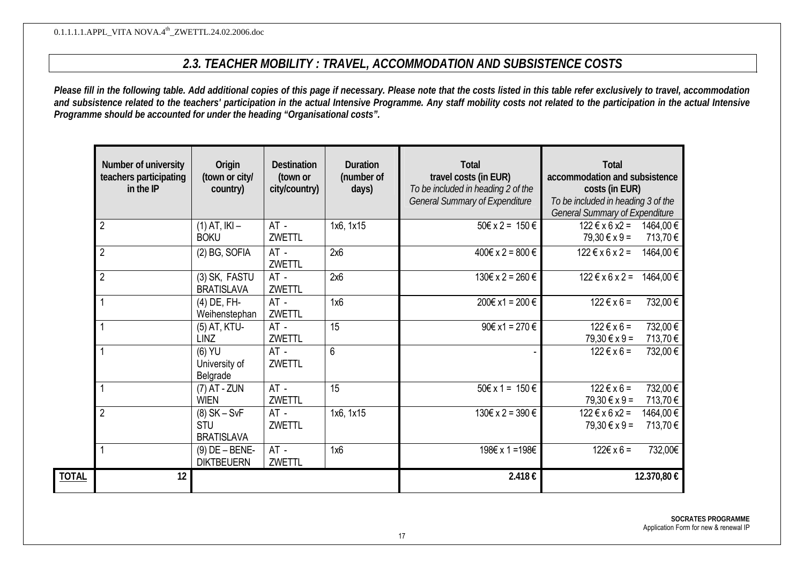## *2.3. TEACHER MOBILITY : TRAVEL, ACCOMMODATION AND SUBSISTENCE COSTS*

*Please fill in the following table. Add additional copies of this page if necessary. Please note that the costs listed in this table refer exclusively to travel, accommodation and subsistence related to the teachers' participation in the actual Intensive Programme. Any staff mobility costs not related to the participation in the actual Intensive Programme should be accounted for under the heading "Organisational costs".*

| Number of university<br>teachers participating<br>in the IP | Origin<br>(town or city/<br>country)              | <b>Destination</b><br>(town or<br>city/country) | <b>Duration</b><br>(number of<br>days) | <b>Total</b><br>travel costs (in EUR)<br>To be included in heading 2 of the<br><b>General Summary of Expenditure</b> | <b>Total</b><br>accommodation and subsistence<br>costs (in EUR)<br>To be included in heading 3 of the<br><b>General Summary of Expenditure</b> |                      |
|-------------------------------------------------------------|---------------------------------------------------|-------------------------------------------------|----------------------------------------|----------------------------------------------------------------------------------------------------------------------|------------------------------------------------------------------------------------------------------------------------------------------------|----------------------|
| $\overline{2}$                                              | $(1)$ AT, $ K $ –<br><b>BOKU</b>                  | AT -<br><b>ZWETTL</b>                           | 1x6, 1x15                              | $50 \in x 2 = 150 \in$                                                                                               | $122 \text{ } \in x 6 x2 =$<br>$79,30 \in x 9 =$                                                                                               | 1464,00 €<br>713,70€ |
| $\overline{2}$                                              | (2) BG, SOFIA                                     | $AT -$<br>ZWETTL                                | 2x6                                    | 400€ x 2 = 800 €                                                                                                     | $122 \text{ } \in x 6 x 2 =$                                                                                                                   | 1464,00€             |
| $\overline{2}$                                              | (3) SK, FASTU<br><b>BRATISLAVA</b>                | AT -<br>ZWETTL                                  | 2x6                                    | 130€ x 2 = 260 €                                                                                                     | $122 \text{ } \in x 6 x 2 =$                                                                                                                   | 1464,00€             |
|                                                             | $(4)$ DE, FH-<br>Weihenstephan                    | $AT -$<br>ZWETTL                                | 1x6                                    | 200€ x1 = 200 €                                                                                                      | $122 \text{ } \in x 6 =$                                                                                                                       | 732,00€              |
|                                                             | (5) AT, KTU-<br><b>LINZ</b>                       | $AT -$<br>ZWETTL                                | 15                                     | $90€ x1 = 270 €$                                                                                                     | $122 \text{ } \in x 6 =$<br>$79,30 \in x 9 =$                                                                                                  | 732,00€<br>713,70€   |
|                                                             | $(6)$ YU<br>University of<br>Belgrade             | $AT -$<br>ZWETTL                                | $6\phantom{1}6$                        |                                                                                                                      | $122 \text{ } \in x 6 =$                                                                                                                       | 732,00€              |
|                                                             | $(7)$ AT - ZUN<br><b>WIEN</b>                     | $AT -$<br>ZWETTL                                | 15                                     | $50 \in x 1 = 150 \in$                                                                                               | $122 \text{ } \in x 6 =$<br>79,30 € x 9 =                                                                                                      | 732,00€<br>713,70€   |
| $\overline{2}$                                              | $(8)$ SK – SvF<br><b>STU</b><br><b>BRATISLAVA</b> | $AT -$<br>ZWETTL                                | 1x6, 1x15                              | 130€ x 2 = 390 €                                                                                                     | $122 \text{ } \in x 6 x2 =$<br>79,30 € x 9 =                                                                                                   | 1464,00 €<br>713,70€ |
|                                                             | $(9)$ DE $-$ BENE-<br><b>DIKTBEUERN</b>           | $AT -$<br>ZWETTL                                | 1x6                                    | 198€ x 1 = 198€                                                                                                      | $122€ \times 6 =$                                                                                                                              | 732,00€              |
| 12                                                          |                                                   |                                                 |                                        | 2.418€                                                                                                               |                                                                                                                                                | 12.370,80 €          |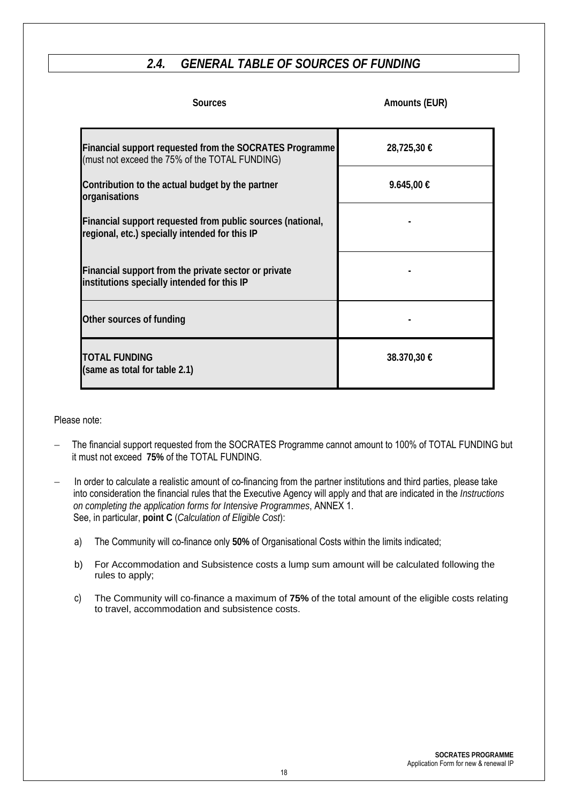## *2.4. GENERAL TABLE OF SOURCES OF FUNDING*

| <b>Sources</b>                                                                                                   | Amounts (EUR) |
|------------------------------------------------------------------------------------------------------------------|---------------|
| <b>Financial support requested from the SOCRATES Programme</b><br>(must not exceed the 75% of the TOTAL FUNDING) | 28,725,30 €   |
| Contribution to the actual budget by the partner<br>organisations                                                | 9.645,00 €    |
| Financial support requested from public sources (national,<br>regional, etc.) specially intended for this IP     |               |
| Financial support from the private sector or private<br>institutions specially intended for this IP              |               |
| Other sources of funding                                                                                         |               |
| <b>TOTAL FUNDING</b><br>(same as total for table 2.1)                                                            | 38.370,30 €   |

#### Please note:

- − The financial support requested from the SOCRATES Programme cannot amount to 100% of TOTAL FUNDING but it must not exceed **75%** of the TOTAL FUNDING.
- In order to calculate a realistic amount of co-financing from the partner institutions and third parties, please take into consideration the financial rules that the Executive Agency will apply and that are indicated in the *Instructions on completing the application forms for Intensive Programmes*, ANNEX 1. See, in particular, **point C** (*Calculation of Eligible Cost*):
	- a) The Community will co-finance only **50%** of Organisational Costs within the limits indicated;
	- b) For Accommodation and Subsistence costs a lump sum amount will be calculated following the rules to apply;
	- c) The Community will co-finance a maximum of **75%** of the total amount of the eligible costs relating to travel, accommodation and subsistence costs.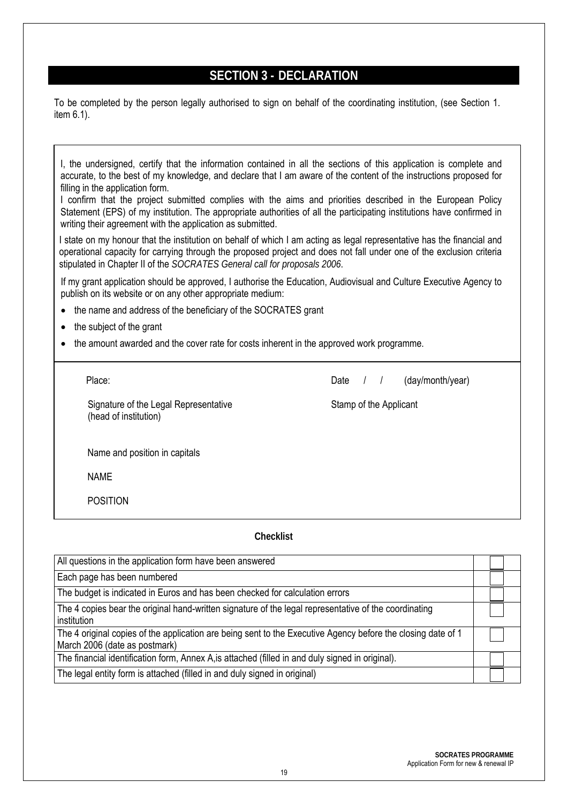## **SECTION 3 - DECLARATION**

To be completed by the person legally authorised to sign on behalf of the coordinating institution, (see Section 1. item 6.1).

I, the undersigned, certify that the information contained in all the sections of this application is complete and accurate, to the best of my knowledge, and declare that I am aware of the content of the instructions proposed for filling in the application form. I confirm that the project submitted complies with the aims and priorities described in the European Policy

Statement (EPS) of my institution. The appropriate authorities of all the participating institutions have confirmed in writing their agreement with the application as submitted.

I state on my honour that the institution on behalf of which I am acting as legal representative has the financial and operational capacity for carrying through the proposed project and does not fall under one of the exclusion criteria stipulated in Chapter II of the *SOCRATES General call for proposals 2006*.

If my grant application should be approved, I authorise the Education, Audiovisual and Culture Executive Agency to publish on its website or on any other appropriate medium:

- the name and address of the beneficiary of the SOCRATES grant
- the subject of the grant
- the amount awarded and the cover rate for costs inherent in the approved work programme.

Signature of the Legal Representative Signature of the Applicant (head of institution)

Place:  $\Box$  Date  $\Box$  (day/month/year)

Name and position in capitals

NAME

POSITION

#### **Checklist**

| All questions in the application form have been answered                                                                                      |  |
|-----------------------------------------------------------------------------------------------------------------------------------------------|--|
| Each page has been numbered                                                                                                                   |  |
| The budget is indicated in Euros and has been checked for calculation errors                                                                  |  |
| The 4 copies bear the original hand-written signature of the legal representative of the coordinating<br>institution                          |  |
| The 4 original copies of the application are being sent to the Executive Agency before the closing date of 1<br>March 2006 (date as postmark) |  |
| The financial identification form, Annex A, is attached (filled in and duly signed in original).                                              |  |
| The legal entity form is attached (filled in and duly signed in original)                                                                     |  |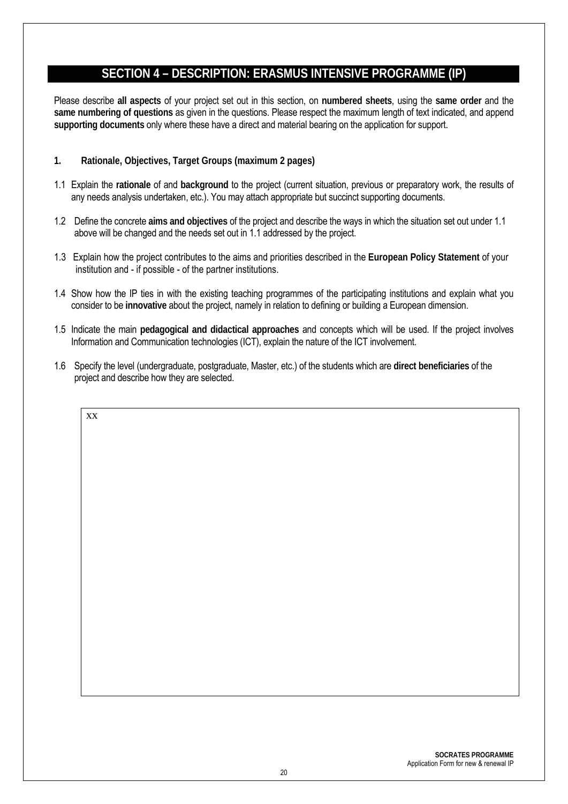## **SECTION 4 – DESCRIPTION: ERASMUS INTENSIVE PROGRAMME (IP)**

Please describe **all aspects** of your project set out in this section, on **numbered sheets**, using the **same order** and the **same numbering of questions** as given in the questions. Please respect the maximum length of text indicated, and append **supporting documents** only where these have a direct and material bearing on the application for support.

**1. Rationale, Objectives, Target Groups (maximum 2 pages)** 

xx

- 1.1 Explain the **rationale** of and **background** to the project (current situation, previous or preparatory work, the results of any needs analysis undertaken, etc.). You may attach appropriate but succinct supporting documents.
- 1.2 Define the concrete **aims and objectives** of the project and describe the ways in which the situation set out under 1.1 above will be changed and the needs set out in 1.1 addressed by the project.
- 1.3 Explain how the project contributes to the aims and priorities described in the **European Policy Statement** of your institution and - if possible - of the partner institutions.
- 1.4 Show how the IP ties in with the existing teaching programmes of the participating institutions and explain what you consider to be **innovative** about the project, namely in relation to defining or building a European dimension.
- 1.5 Indicate the main **pedagogical and didactical approaches** and concepts which will be used. If the project involves Information and Communication technologies (ICT), explain the nature of the ICT involvement.
- 1.6 Specify the level (undergraduate, postgraduate, Master, etc.) of the students which are **direct beneficiaries** of the project and describe how they are selected.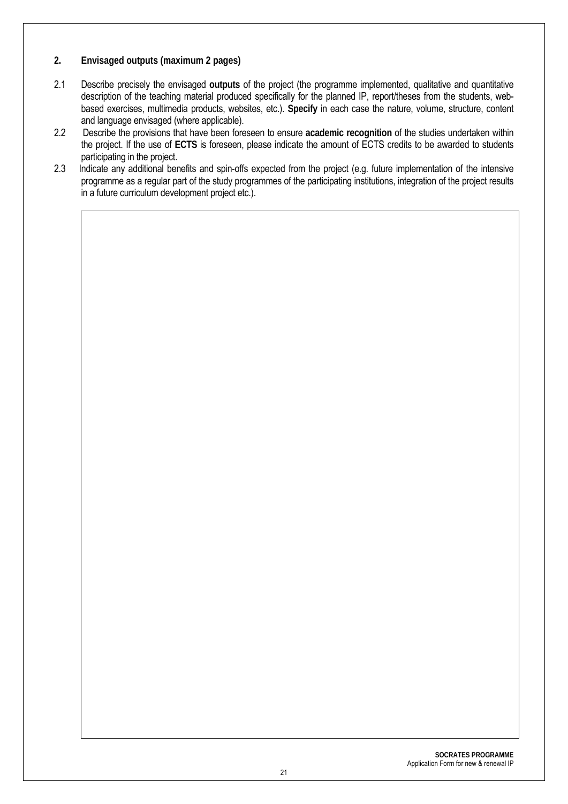- **2. Envisaged outputs (maximum 2 pages)**
- 2.1 Describe precisely the envisaged **outputs** of the project (the programme implemented, qualitative and quantitative description of the teaching material produced specifically for the planned IP, report/theses from the students, webbased exercises, multimedia products, websites, etc.). **Specify** in each case the nature, volume, structure, content and language envisaged (where applicable).
- 2.2 Describe the provisions that have been foreseen to ensure **academic recognition** of the studies undertaken within the project. If the use of **ECTS** is foreseen, please indicate the amount of ECTS credits to be awarded to students participating in the project.
- 2.3 Indicate any additional benefits and spin-offs expected from the project (e.g. future implementation of the intensive programme as a regular part of the study programmes of the participating institutions, integration of the project results in a future curriculum development project etc.).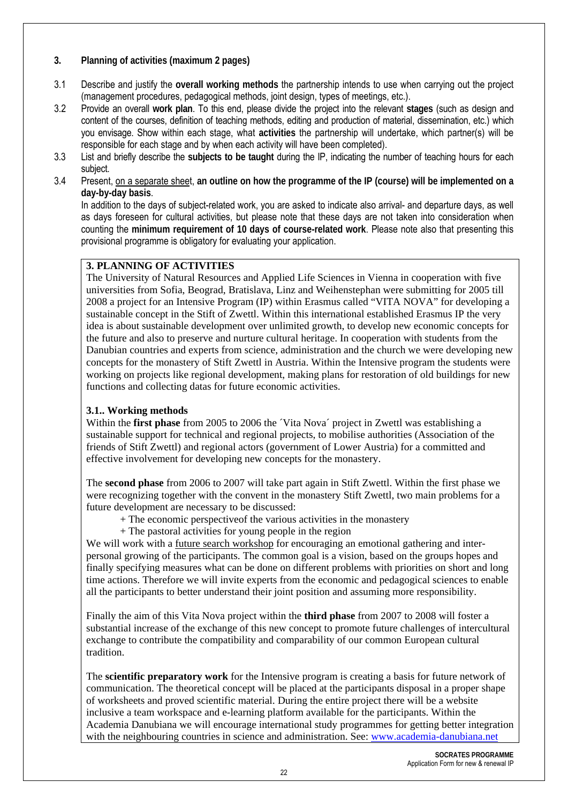#### **3. Planning of activities (maximum 2 pages)**

- 3.1 Describe and justify the **overall working methods** the partnership intends to use when carrying out the project (management procedures, pedagogical methods, joint design, types of meetings, etc.).
- 3.2 Provide an overall **work plan**. To this end, please divide the project into the relevant **stages** (such as design and content of the courses, definition of teaching methods, editing and production of material, dissemination, etc.) which you envisage. Show within each stage, what **activities** the partnership will undertake, which partner(s) will be responsible for each stage and by when each activity will have been completed).
- 3.3 List and briefly describe the **subjects to be taught** during the IP, indicating the number of teaching hours for each subject.
- 3.4 Present, on a separate sheet, **an outline on how the programme of the IP (course) will be implemented on a day-by-day basis**.

In addition to the days of subject-related work, you are asked to indicate also arrival- and departure days, as well as days foreseen for cultural activities, but please note that these days are not taken into consideration when counting the **minimum requirement of 10 days of course-related work**. Please note also that presenting this provisional programme is obligatory for evaluating your application.

#### **3. PLANNING OF ACTIVITIES**

The University of Natural Resources and Applied Life Sciences in Vienna in cooperation with five universities from Sofia, Beograd, Bratislava, Linz and Weihenstephan were submitting for 2005 till 2008 a project for an Intensive Program (IP) within Erasmus called "VITA NOVA" for developing a sustainable concept in the Stift of Zwettl. Within this international established Erasmus IP the very idea is about sustainable development over unlimited growth, to develop new economic concepts for the future and also to preserve and nurture cultural heritage. In cooperation with students from the Danubian countries and experts from science, administration and the church we were developing new concepts for the monastery of Stift Zwettl in Austria. Within the Intensive program the students were working on projects like regional development, making plans for restoration of old buildings for new functions and collecting datas for future economic activities.

#### **3.1.. Working methods**

Within the **first phase** from 2005 to 2006 the ´Vita Nova´ project in Zwettl was establishing a sustainable support for technical and regional projects, to mobilise authorities (Association of the friends of Stift Zwettl) and regional actors (government of Lower Austria) for a committed and effective involvement for developing new concepts for the monastery.

The **second phase** from 2006 to 2007 will take part again in Stift Zwettl. Within the first phase we were recognizing together with the convent in the monastery Stift Zwettl, two main problems for a future development are necessary to be discussed:

- + The economic perspectiveof the various activities in the monastery
- + The pastoral activities for young people in the region

We will work with a future search workshop for encouraging an emotional gathering and interpersonal growing of the participants. The common goal is a vision, based on the groups hopes and finally specifying measures what can be done on different problems with priorities on short and long time actions. Therefore we will invite experts from the economic and pedagogical sciences to enable all the participants to better understand their joint position and assuming more responsibility.

Finally the aim of this Vita Nova project within the **third phase** from 2007 to 2008 will foster a substantial increase of the exchange of this new concept to promote future challenges of intercultural exchange to contribute the compatibility and comparability of our common European cultural tradition.

The **scientific preparatory work** for the Intensive program is creating a basis for future network of communication. The theoretical concept will be placed at the participants disposal in a proper shape of worksheets and proved scientific material. During the entire project there will be a website inclusive a team workspace and e-learning platform available for the participants. Within the Academia Danubiana we will encourage international study programmes for getting better integration with the neighbouring countries in science and administration. See: www.academia-danubiana.net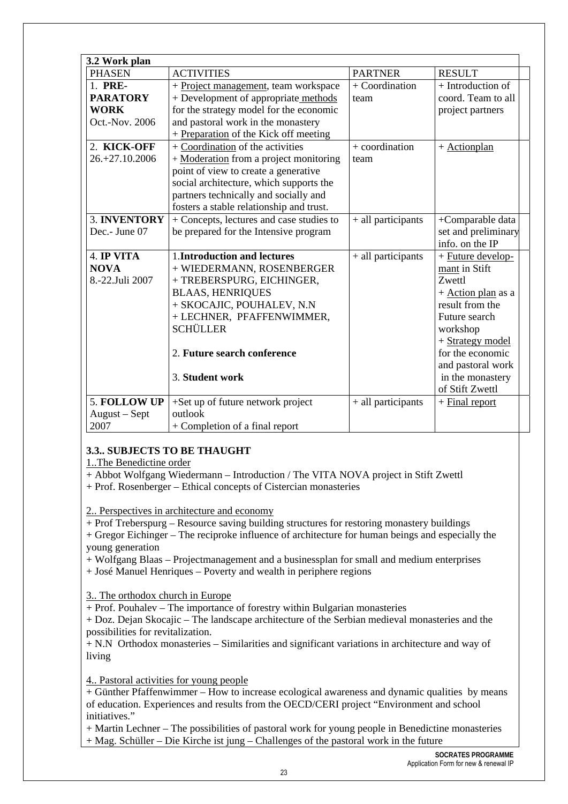| 3.2 Work plan                                               |                                                                                                                                                                                                                                                    |                          |                                                                                                                                                                                                                        |
|-------------------------------------------------------------|----------------------------------------------------------------------------------------------------------------------------------------------------------------------------------------------------------------------------------------------------|--------------------------|------------------------------------------------------------------------------------------------------------------------------------------------------------------------------------------------------------------------|
| <b>PHASEN</b>                                               | <b>ACTIVITIES</b>                                                                                                                                                                                                                                  | <b>PARTNER</b>           | <b>RESULT</b>                                                                                                                                                                                                          |
| 1. PRE-<br><b>PARATORY</b><br><b>WORK</b><br>Oct.-Nov. 2006 | + Project management, team workspace<br>+ Development of appropriate methods<br>for the strategy model for the economic<br>and pastoral work in the monastery<br>+ Preparation of the Kick off meeting                                             | + Coordination<br>team   | + Introduction of<br>coord. Team to all<br>project partners                                                                                                                                                            |
| 2. KICK-OFF<br>26.+27.10.2006                               | + Coordination of the activities<br>+ Moderation from a project monitoring<br>point of view to create a generative<br>social architecture, which supports the<br>partners technically and socially and<br>fosters a stable relationship and trust. | $+$ coordination<br>team | $+$ Actionplan                                                                                                                                                                                                         |
| 3. INVENTORY<br>Dec.- June 07                               | + Concepts, lectures and case studies to<br>be prepared for the Intensive program                                                                                                                                                                  | + all participants       | +Comparable data<br>set and preliminary<br>info. on the IP                                                                                                                                                             |
| 4. IP VITA<br><b>NOVA</b><br>8.-22.Juli 2007                | 1. Introduction and lectures<br>+ WIEDERMANN, ROSENBERGER<br>+ TREBERSPURG, EICHINGER,<br><b>BLAAS, HENRIQUES</b><br>+ SKOCAJIC, POUHALEV, N.N<br>+ LECHNER, PFAFFENWIMMER,<br>SCHÜLLER<br>2. Future search conference<br>3. Student work          | + all participants       | + Future develop-<br>mant in Stift<br>Zwettl<br>+ Action plan as a<br>result from the<br>Future search<br>workshop<br>+ Strategy model<br>for the economic<br>and pastoral work<br>in the monastery<br>of Stift Zwettl |
| 5. FOLLOW UP<br>August - Sept<br>2007                       | +Set up of future network project<br>outlook<br>+ Completion of a final report                                                                                                                                                                     | + all participants       | $+$ Final report                                                                                                                                                                                                       |

### **3.3.. SUBJECTS TO BE THAUGHT**

1..The Benedictine order

+ Abbot Wolfgang Wiedermann – Introduction / The VITA NOVA project in Stift Zwettl

+ Prof. Rosenberger – Ethical concepts of Cistercian monasteries

2.. Perspectives in architecture and economy

+ Prof Treberspurg – Resource saving building structures for restoring monastery buildings

+ Gregor Eichinger – The reciproke influence of architecture for human beings and especially the young generation

+ Wolfgang Blaas – Projectmanagement and a businessplan for small and medium enterprises

+ José Manuel Henriques – Poverty and wealth in periphere regions

3.. The orthodox church in Europe

+ Prof. Pouhalev – The importance of forestry within Bulgarian monasteries

+ Doz. Dejan Skocajic – The landscape architecture of the Serbian medieval monasteries and the possibilities for revitalization.

+ N.N Orthodox monasteries – Similarities and significant variations in architecture and way of living

4.. Pastoral activities for young people

+ Günther Pfaffenwimmer – How to increase ecological awareness and dynamic qualities by means of education. Experiences and results from the OECD/CERI project "Environment and school initiatives."

+ Martin Lechner – The possibilities of pastoral work for young people in Benedictine monasteries + Mag. Schüller – Die Kirche ist jung – Challenges of the pastoral work in the future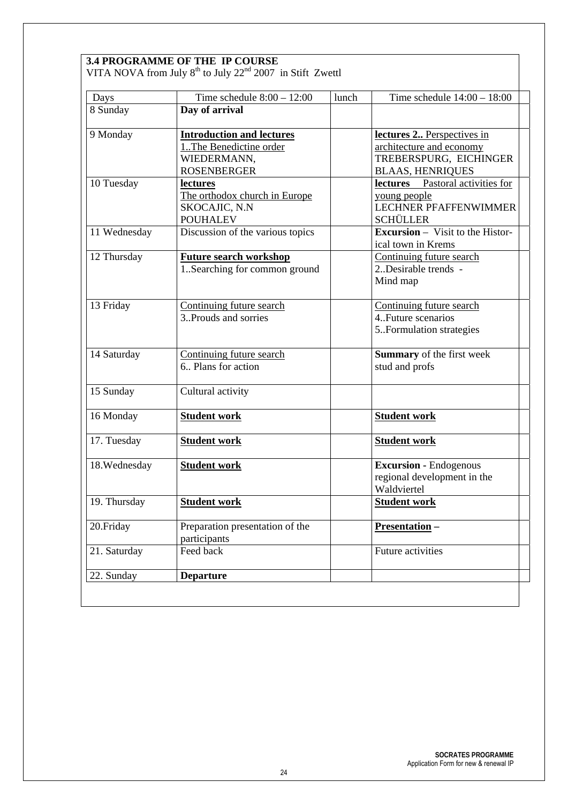|                             | Time schedule $8:00 - 12:00$     | lunch | Time schedule $14:00 - 18:00$           |
|-----------------------------|----------------------------------|-------|-----------------------------------------|
| Days<br>8 Sunday            | Day of arrival                   |       |                                         |
|                             |                                  |       |                                         |
| 9 Monday                    | <b>Introduction and lectures</b> |       | lectures 2 Perspectives in              |
|                             | 1. The Benedictine order         |       | architecture and economy                |
|                             | WIEDERMANN,                      |       | TREBERSPURG, EICHINGER                  |
|                             | <b>ROSENBERGER</b>               |       | <b>BLAAS, HENRIQUES</b>                 |
| 10 Tuesday                  | lectures                         |       | lectures Pastoral activities for        |
|                             | The orthodox church in Europe    |       | young people                            |
|                             | SKOCAJIC, N.N                    |       | <b>LECHNER PFAFFENWIMMER</b>            |
|                             | <b>POUHALEV</b>                  |       | <b>SCHÜLLER</b>                         |
| 11 Wednesday<br>12 Thursday | Discussion of the various topics |       | <b>Excursion</b> – Visit to the Histor- |
|                             |                                  |       | ical town in Krems                      |
|                             | <b>Future search workshop</b>    |       | Continuing future search                |
|                             | 1Searching for common ground     |       | 2. Desirable trends -                   |
|                             |                                  |       |                                         |
|                             |                                  |       | Mind map                                |
| 13 Friday                   | Continuing future search         |       | Continuing future search                |
|                             | 3. Prouds and sorries            |       | 4. Future scenarios                     |
|                             |                                  |       | 5. Formulation strategies               |
|                             |                                  |       |                                         |
| 14 Saturday                 | Continuing future search         |       | Summary of the first week               |
|                             | 6. Plans for action              |       | stud and profs                          |
|                             |                                  |       |                                         |
| 15 Sunday                   | Cultural activity                |       |                                         |
|                             |                                  |       |                                         |
| 16 Monday                   | <b>Student work</b>              |       | <b>Student work</b>                     |
| 17. Tuesday                 | <b>Student work</b>              |       | <b>Student work</b>                     |
|                             |                                  |       |                                         |
| 18. Wednesday               | <b>Student work</b>              |       | <b>Excursion - Endogenous</b>           |
|                             |                                  |       | regional development in the             |
|                             |                                  |       | Waldviertel                             |
| 19. Thursday                | <b>Student work</b>              |       | <b>Student work</b>                     |
|                             |                                  |       |                                         |
| 20.Friday                   | Preparation presentation of the  |       | Presentation-                           |
|                             | participants                     |       |                                         |
| 21. Saturday                | Feed back                        |       | Future activities                       |
|                             |                                  |       |                                         |
| 22. Sunday                  | <b>Departure</b>                 |       |                                         |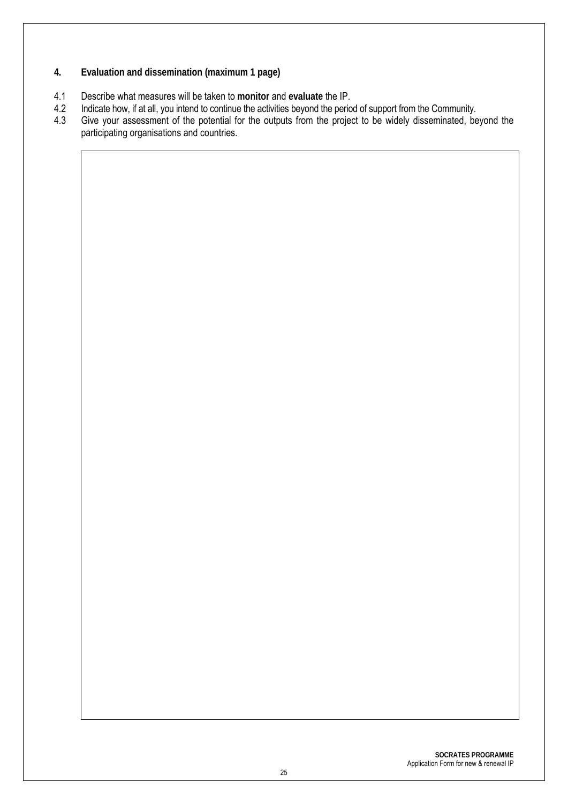- **4. Evaluation and dissemination (maximum 1 page)**
- 4.1 Describe what measures will be taken to **monitor** and **evaluate** the IP.
- 4.2 Indicate how, if at all, you intend to continue the activities beyond the period of support from the Community.<br>4.3 Give your assessment of the potential for the outputs from the project to be widely disseminated, be
- Give your assessment of the potential for the outputs from the project to be widely disseminated, beyond the participating organisations and countries.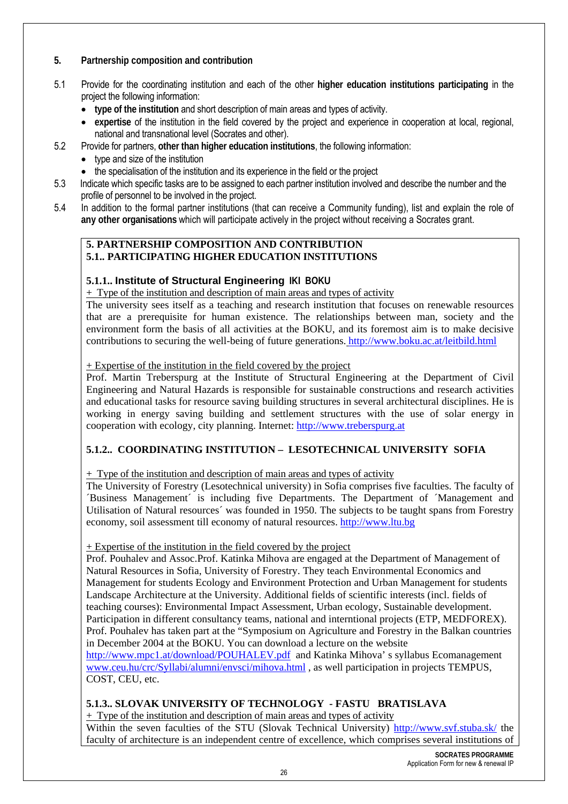#### **5. Partnership composition and contribution**

- 5.1 Provide for the coordinating institution and each of the other **higher education institutions participating** in the project the following information:
	- **type of the institution** and short description of main areas and types of activity.
	- **expertise** of the institution in the field covered by the project and experience in cooperation at local, regional, national and transnational level (Socrates and other).
- 5.2 Provide for partners, **other than higher education institutions**, the following information:
	- type and size of the institution
	- the specialisation of the institution and its experience in the field or the project
- 5.3 Indicate which specific tasks are to be assigned to each partner institution involved and describe the number and the profile of personnel to be involved in the project.
- 5.4 In addition to the formal partner institutions (that can receive a Community funding), list and explain the role of **any other organisations** which will participate actively in the project without receiving a Socrates grant.

#### **5. PARTNERSHIP COMPOSITION AND CONTRIBUTION 5.1.. PARTICIPATING HIGHER EDUCATION INSTITUTIONS**

#### **5.1.1.. Institute of Structural Engineering IKI BOKU**

+ Type of the institution and description of main areas and types of activity

The university sees itself as a teaching and research institution that focuses on renewable resources that are a prerequisite for human existence. The relationships between man, society and the environment form the basis of all activities at the BOKU, and its foremost aim is to make decisive contributions to securing the well-being of future generations. http://www.boku.ac.at/leitbild.html

+ Expertise of the institution in the field covered by the project

Prof. Martin Treberspurg at the Institute of Structural Engineering at the Department of Civil Engineering and Natural Hazards is responsible for sustainable constructions and research activities and educational tasks for resource saving building structures in several architectural disciplines. He is working in energy saving building and settlement structures with the use of solar energy in cooperation with ecology, city planning. Internet: http://www.treberspurg.at

#### **5.1.2.. COORDINATING INSTITUTION – LESOTECHNICAL UNIVERSITY SOFIA**

+ Type of the institution and description of main areas and types of activity

The University of Forestry (Lesotechnical university) in Sofia comprises five faculties. The faculty of ´Business Management´ is including five Departments. The Department of ´Management and Utilisation of Natural resources´ was founded in 1950. The subjects to be taught spans from Forestry economy, soil assessment till economy of natural resources. http://www.ltu.bg

#### + Expertise of the institution in the field covered by the project

Prof. Pouhalev and Assoc.Prof. Katinka Mihova are engaged at the Department of Management of Natural Resources in Sofia, University of Forestry. They teach Environmental Economics and Management for students Ecology and Environment Protection and Urban Management for students Landscape Architecture at the University. Additional fields of scientific interests (incl. fields of teaching courses): Environmental Impact Assessment, Urban ecology, Sustainable development. Participation in different consultancy teams, national and interntional projects (ETP, MEDFOREX). Prof. Pouhalev has taken part at the "Symposium on Agriculture and Forestry in the Balkan countries in December 2004 at the BOKU. You can download a lecture on the website http://www.mpc1.at/download/POUHALEV.pdf and Katinka Mihova' s syllabus Ecomanagement www.ceu.hu/crc/Syllabi/alumni/envsci/mihova.html , as well participation in projects TEMPUS, COST, CEU, etc.

#### **5.1.3.. SLOVAK UNIVERSITY OF TECHNOLOGY - FASTU BRATISLAVA**

+ Type of the institution and description of main areas and types of activity

Within the seven faculties of the STU (Slovak Technical University) http://www.svf.stuba.sk/ the faculty of architecture is an independent centre of excellence, which comprises several institutions of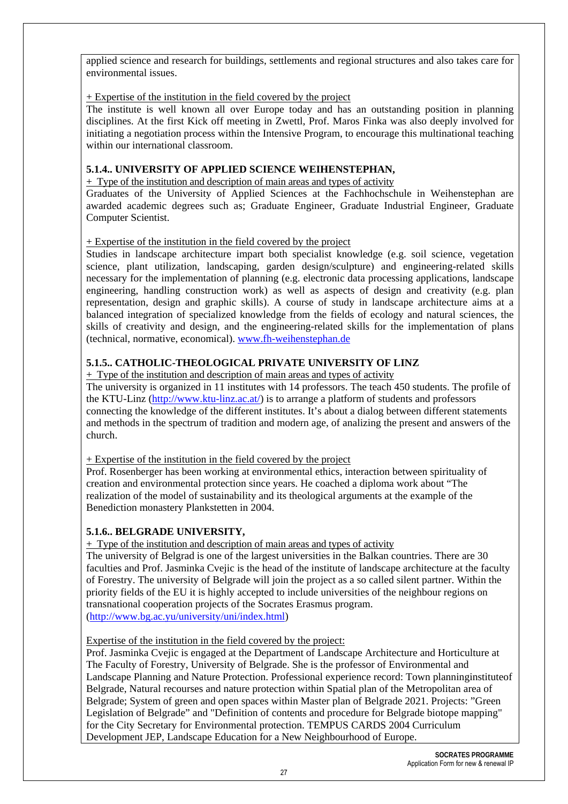applied science and research for buildings, settlements and regional structures and also takes care for environmental issues.

#### + Expertise of the institution in the field covered by the project

The institute is well known all over Europe today and has an outstanding position in planning disciplines. At the first Kick off meeting in Zwettl, Prof. Maros Finka was also deeply involved for initiating a negotiation process within the Intensive Program, to encourage this multinational teaching within our international classroom.

#### **5.1.4.. UNIVERSITY OF APPLIED SCIENCE WEIHENSTEPHAN,**

+ Type of the institution and description of main areas and types of activity

Graduates of the University of Applied Sciences at the Fachhochschule in Weihenstephan are awarded academic degrees such as; Graduate Engineer, Graduate Industrial Engineer, Graduate Computer Scientist.

#### + Expertise of the institution in the field covered by the project

Studies in landscape architecture impart both specialist knowledge (e.g. soil science, vegetation science, plant utilization, landscaping, garden design/sculpture) and engineering-related skills necessary for the implementation of planning (e.g. electronic data processing applications, landscape engineering, handling construction work) as well as aspects of design and creativity (e.g. plan representation, design and graphic skills). A course of study in landscape architecture aims at a balanced integration of specialized knowledge from the fields of ecology and natural sciences, the skills of creativity and design, and the engineering-related skills for the implementation of plans (technical, normative, economical). www.fh-weihenstephan.de

#### **5.1.5.. CATHOLIC-THEOLOGICAL PRIVATE UNIVERSITY OF LINZ**

+ Type of the institution and description of main areas and types of activity

The university is organized in 11 institutes with 14 professors. The teach 450 students. The profile of the KTU-Linz (http://www.ktu-linz.ac.at/) is to arrange a platform of students and professors connecting the knowledge of the different institutes. It's about a dialog between different statements and methods in the spectrum of tradition and modern age, of analizing the present and answers of the church.

+ Expertise of the institution in the field covered by the project

Prof. Rosenberger has been working at environmental ethics, interaction between spirituality of creation and environmental protection since years. He coached a diploma work about "The realization of the model of sustainability and its theological arguments at the example of the Benediction monastery Plankstetten in 2004.

#### **5.1.6.. BELGRADE UNIVERSITY,**

+ Type of the institution and description of main areas and types of activity

The university of Belgrad is one of the largest universities in the Balkan countries. There are 30 faculties and Prof. Jasminka Cvejic is the head of the institute of landscape architecture at the faculty of Forestry. The university of Belgrade will join the project as a so called silent partner. Within the priority fields of the EU it is highly accepted to include universities of the neighbour regions on transnational cooperation projects of the Socrates Erasmus program. (http://www.bg.ac.yu/university/uni/index.html)

Expertise of the institution in the field covered by the project:

Prof. Jasminka Cvejic is engaged at the Department of Landscape Architecture and Horticulture at The Faculty of Forestry, University of Belgrade. She is the professor of Environmental and Landscape Planning and Nature Protection. Professional experience record: Town planninginstituteof Belgrade, Natural recourses and nature protection within Spatial plan of the Metropolitan area of Belgrade; System of green and open spaces within Master plan of Belgrade 2021. Projects: "Green Legislation of Belgrade" and "Definition of contents and procedure for Belgrade biotope mapping" for the City Secretary for Environmental protection. TEMPUS CARDS 2004 Curriculum Development JEP, Landscape Education for a New Neighbourhood of Europe.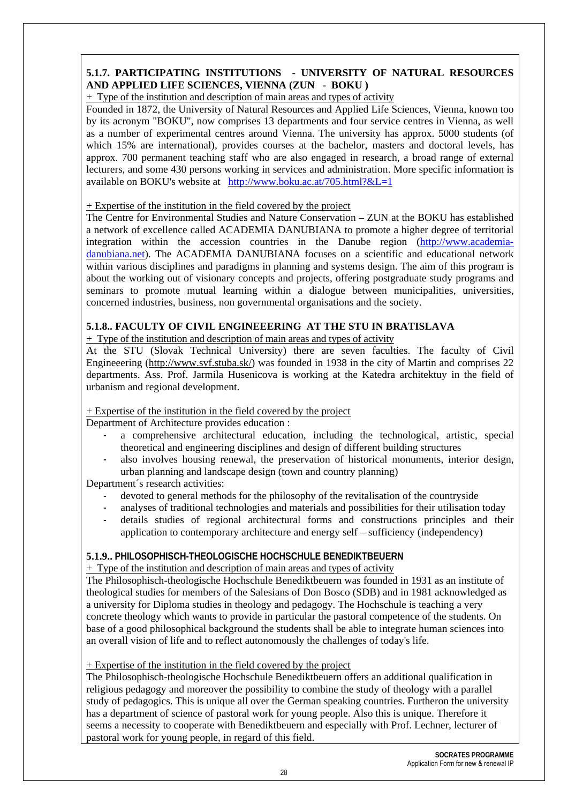#### **5.1.7. PARTICIPATING INSTITUTIONS - UNIVERSITY OF NATURAL RESOURCES AND APPLIED LIFE SCIENCES, VIENNA (ZUN - BOKU )**

+ Type of the institution and description of main areas and types of activity

Founded in 1872, the University of Natural Resources and Applied Life Sciences, Vienna, known too by its acronym "BOKU", now comprises 13 departments and four service centres in Vienna, as well as a number of experimental centres around Vienna. The university has approx. 5000 students (of which 15% are international), provides courses at the bachelor, masters and doctoral levels, has approx. 700 permanent teaching staff who are also engaged in research, a broad range of external lecturers, and some 430 persons working in services and administration. More specific information is available on BOKU's website at http://www.boku.ac.at/705.html?&L=1

#### + Expertise of the institution in the field covered by the project

The Centre for Environmental Studies and Nature Conservation – ZUN at the BOKU has established a network of excellence called ACADEMIA DANUBIANA to promote a higher degree of territorial integration within the accession countries in the Danube region (http://www.academiadanubiana.net). The ACADEMIA DANUBIANA focuses on a scientific and educational network within various disciplines and paradigms in planning and systems design. The aim of this program is about the working out of visionary concepts and projects, offering postgraduate study programs and seminars to promote mutual learning within a dialogue between municipalities, universities, concerned industries, business, non governmental organisations and the society.

#### **5.1.8.. FACULTY OF CIVIL ENGINEEERING AT THE STU IN BRATISLAVA**

+ Type of the institution and description of main areas and types of activity

At the STU (Slovak Technical University) there are seven faculties. The faculty of Civil Engineeering (http://www.svf.stuba.sk/) was founded in 1938 in the city of Martin and comprises 22 departments. Ass. Prof. Jarmila Husenicova is working at the Katedra architektuy in the field of urbanism and regional development.

#### + Expertise of the institution in the field covered by the project

Department of Architecture provides education :

- a comprehensive architectural education, including the technological, artistic, special theoretical and engineering disciplines and design of different building structures
- also involves housing renewal, the preservation of historical monuments, interior design, urban planning and landscape design (town and country planning)

Department´s research activities:

- devoted to general methods for the philosophy of the revitalisation of the countryside
- analyses of traditional technologies and materials and possibilities for their utilisation today
- details studies of regional architectural forms and constructions principles and their application to contemporary architecture and energy self – sufficiency (independency)

#### **5.1.9.. PHILOSOPHISCH-THEOLOGISCHE HOCHSCHULE BENEDIKTBEUERN**

#### + Type of the institution and description of main areas and types of activity

The Philosophisch-theologische Hochschule Benediktbeuern was founded in 1931 as an institute of theological studies for members of the Salesians of Don Bosco (SDB) and in 1981 acknowledged as a university for Diploma studies in theology and pedagogy. The Hochschule is teaching a very concrete theology which wants to provide in particular the pastoral competence of the students. On base of a good philosophical background the students shall be able to integrate human sciences into an overall vision of life and to reflect autonomously the challenges of today's life.

#### + Expertise of the institution in the field covered by the project

The Philosophisch-theologische Hochschule Benediktbeuern offers an additional qualification in religious pedagogy and moreover the possibility to combine the study of theology with a parallel study of pedagogics. This is unique all over the German speaking countries. Furtheron the university has a department of science of pastoral work for young people. Also this is unique. Therefore it seems a necessity to cooperate with Benediktbeuern and especially with Prof. Lechner, lecturer of pastoral work for young people, in regard of this field.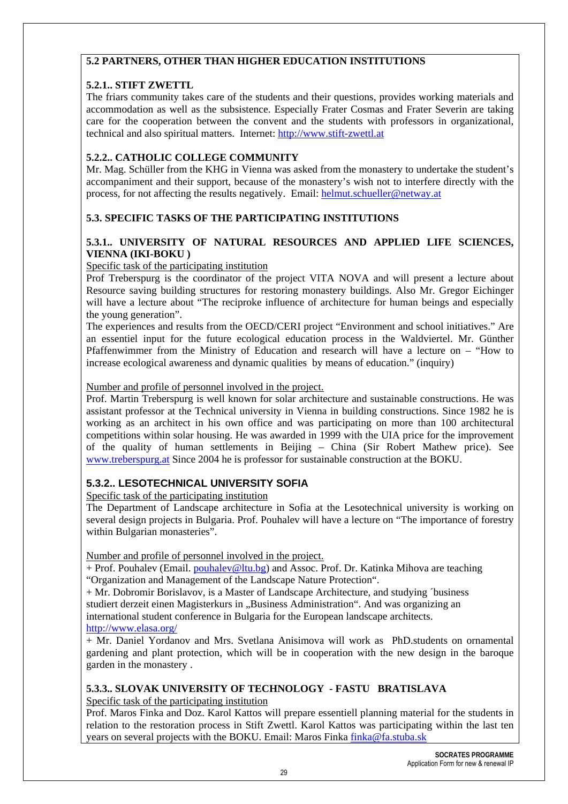#### **5.2 PARTNERS, OTHER THAN HIGHER EDUCATION INSTITUTIONS**

#### **5.2.1.. STIFT ZWETTL**

The friars community takes care of the students and their questions, provides working materials and accommodation as well as the subsistence. Especially Frater Cosmas and Frater Severin are taking care for the cooperation between the convent and the students with professors in organizational, technical and also spiritual matters. Internet: http://www.stift-zwettl.at

#### **5.2.2.. CATHOLIC COLLEGE COMMUNITY**

Mr. Mag. Schüller from the KHG in Vienna was asked from the monastery to undertake the student's accompaniment and their support, because of the monastery's wish not to interfere directly with the process, for not affecting the results negatively. Email: helmut.schueller@netway.at

#### **5.3. SPECIFIC TASKS OF THE PARTICIPATING INSTITUTIONS**

#### **5.3.1.. UNIVERSITY OF NATURAL RESOURCES AND APPLIED LIFE SCIENCES, VIENNA (IKI-BOKU )**

#### Specific task of the participating institution

Prof Treberspurg is the coordinator of the project VITA NOVA and will present a lecture about Resource saving building structures for restoring monastery buildings. Also Mr. Gregor Eichinger will have a lecture about "The reciproke influence of architecture for human beings and especially the young generation".

The experiences and results from the OECD/CERI project "Environment and school initiatives." Are an essentiel input for the future ecological education process in the Waldviertel. Mr. Günther Pfaffenwimmer from the Ministry of Education and research will have a lecture on – "How to increase ecological awareness and dynamic qualities by means of education." (inquiry)

#### Number and profile of personnel involved in the project.

Prof. Martin Treberspurg is well known for solar architecture and sustainable constructions. He was assistant professor at the Technical university in Vienna in building constructions. Since 1982 he is working as an architect in his own office and was participating on more than 100 architectural competitions within solar housing. He was awarded in 1999 with the UIA price for the improvement of the quality of human settlements in Beijing – China (Sir Robert Mathew price). See www.treberspurg.at Since 2004 he is professor for sustainable construction at the BOKU.

### **5.3.2.. LESOTECHNICAL UNIVERSITY SOFIA**

Specific task of the participating institution

The Department of Landscape architecture in Sofia at the Lesotechnical university is working on several design projects in Bulgaria. Prof. Pouhalev will have a lecture on "The importance of forestry within Bulgarian monasteries".

Number and profile of personnel involved in the project.

+ Prof. Pouhalev (Email. pouhalev@ltu.bg) and Assoc. Prof. Dr. Katinka Mihova are teaching "Organization and Management of the Landscape Nature Protection".

+ Mr. Dobromir Borislavov, is a Master of Landscape Architecture, and studying ´business studiert derzeit einen Magisterkurs in "Business Administration". And was organizing an international student conference in Bulgaria for the European landscape architects. http://www.elasa.org/

+ Mr. Daniel Yordanov and Mrs. Svetlana Anisimova will work as PhD.students on ornamental gardening and plant protection, which will be in cooperation with the new design in the baroque garden in the monastery .

## **5.3.3.. SLOVAK UNIVERSITY OF TECHNOLOGY - FASTU BRATISLAVA**

#### Specific task of the participating institution

Prof. Maros Finka and Doz. Karol Kattos will prepare essentiell planning material for the students in relation to the restoration process in Stift Zwettl. Karol Kattos was participating within the last ten years on several projects with the BOKU. Email: Maros Finka finka@fa.stuba.sk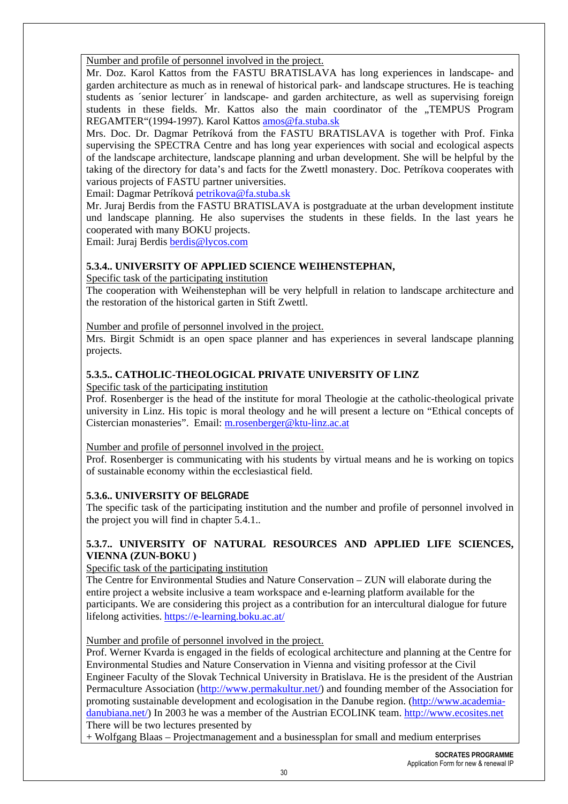Number and profile of personnel involved in the project.

Mr. Doz. Karol Kattos from the FASTU BRATISLAVA has long experiences in landscape- and garden architecture as much as in renewal of historical park- and landscape structures. He is teaching students as ´senior lecturer´ in landscape- and garden architecture, as well as supervising foreign students in these fields. Mr. Kattos also the main coordinator of the "TEMPUS Program REGAMTER"(1994-1997). Karol Kattos amos@fa.stuba.sk

Mrs. Doc. Dr. Dagmar Petríková from the FASTU BRATISLAVA is together with Prof. Finka supervising the SPECTRA Centre and has long year experiences with social and ecological aspects of the landscape architecture, landscape planning and urban development. She will be helpful by the taking of the directory for data's and facts for the Zwettl monastery. Doc. Petríkova cooperates with various projects of FASTU partner universities.

Email: Dagmar Petríková petrikova@fa.stuba.sk

Mr. Juraj Berdis from the FASTU BRATISLAVA is postgraduate at the urban development institute und landscape planning. He also supervises the students in these fields. In the last years he cooperated with many BOKU projects.

Email: Juraj Berdis berdis@lycos.com

#### **5.3.4.. UNIVERSITY OF APPLIED SCIENCE WEIHENSTEPHAN,**

Specific task of the participating institution

The cooperation with Weihenstephan will be very helpfull in relation to landscape architecture and the restoration of the historical garten in Stift Zwettl.

Number and profile of personnel involved in the project.

Mrs. Birgit Schmidt is an open space planner and has experiences in several landscape planning projects.

#### **5.3.5.. CATHOLIC-THEOLOGICAL PRIVATE UNIVERSITY OF LINZ**

Specific task of the participating institution

Prof. Rosenberger is the head of the institute for moral Theologie at the catholic-theological private university in Linz. His topic is moral theology and he will present a lecture on "Ethical concepts of Cistercian monasteries". Email: m.rosenberger@ktu-linz.ac.at

Number and profile of personnel involved in the project.

Prof. Rosenberger is communicating with his students by virtual means and he is working on topics of sustainable economy within the ecclesiastical field.

#### **5.3.6.. UNIVERSITY OF BELGRADE**

The specific task of the participating institution and the number and profile of personnel involved in the project you will find in chapter 5.4.1..

#### **5.3.7.. UNIVERSITY OF NATURAL RESOURCES AND APPLIED LIFE SCIENCES, VIENNA (ZUN-BOKU )**

#### Specific task of the participating institution

The Centre for Environmental Studies and Nature Conservation – ZUN will elaborate during the entire project a website inclusive a team workspace and e-learning platform available for the participants. We are considering this project as a contribution for an intercultural dialogue for future lifelong activities. https://e-learning.boku.ac.at/

Number and profile of personnel involved in the project.

Prof. Werner Kvarda is engaged in the fields of ecological architecture and planning at the Centre for Environmental Studies and Nature Conservation in Vienna and visiting professor at the Civil Engineer Faculty of the Slovak Technical University in Bratislava. He is the president of the Austrian Permaculture Association (http://www.permakultur.net/) and founding member of the Association for promoting sustainable development and ecologisation in the Danube region. (http://www.academiadanubiana.net/) In 2003 he was a member of the Austrian ECOLINK team. http://www.ecosites.net There will be two lectures presented by

+ Wolfgang Blaas – Projectmanagement and a businessplan for small and medium enterprises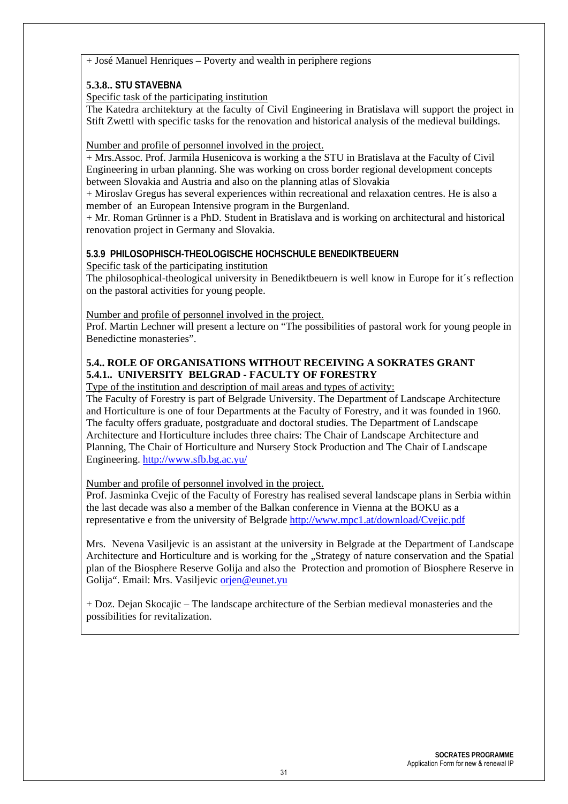+ José Manuel Henriques – Poverty and wealth in periphere regions

#### **5.3.8.. STU STAVEBNA**

Specific task of the participating institution

The Katedra architektury at the faculty of Civil Engineering in Bratislava will support the project in Stift Zwettl with specific tasks for the renovation and historical analysis of the medieval buildings.

Number and profile of personnel involved in the project.

+ Mrs.Assoc. Prof. Jarmila Husenicova is working a the STU in Bratislava at the Faculty of Civil Engineering in urban planning. She was working on cross border regional development concepts between Slovakia and Austria and also on the planning atlas of Slovakia

+ Miroslav Gregus has several experiences within recreational and relaxation centres. He is also a member of an European Intensive program in the Burgenland.

+ Mr. Roman Grünner is a PhD. Student in Bratislava and is working on architectural and historical renovation project in Germany and Slovakia.

#### **5.3.9 PHILOSOPHISCH-THEOLOGISCHE HOCHSCHULE BENEDIKTBEUERN**

Specific task of the participating institution

The philosophical-theological university in Benediktbeuern is well know in Europe for it´s reflection on the pastoral activities for young people.

Number and profile of personnel involved in the project.

Prof. Martin Lechner will present a lecture on "The possibilities of pastoral work for young people in Benedictine monasteries".

#### **5.4.. ROLE OF ORGANISATIONS WITHOUT RECEIVING A SOKRATES GRANT 5.4.1.. UNIVERSITY BELGRAD - FACULTY OF FORESTRY**

Type of the institution and description of mail areas and types of activity:

The Faculty of Forestry is part of Belgrade University. The Department of Landscape Architecture and Horticulture is one of four Departments at the Faculty of Forestry, and it was founded in 1960. The faculty offers graduate, postgraduate and doctoral studies. The Department of Landscape Architecture and Horticulture includes three chairs: The Chair of Landscape Architecture and Planning, The Chair of Horticulture and Nursery Stock Production and The Chair of Landscape Engineering. http://www.sfb.bg.ac.yu/

Number and profile of personnel involved in the project.

Prof. Jasminka Cvejic of the Faculty of Forestry has realised several landscape plans in Serbia within the last decade was also a member of the Balkan conference in Vienna at the BOKU as a representative e from the university of Belgrade http://www.mpc1.at/download/Cvejic.pdf

Mrs. Nevena Vasiljevic is an assistant at the university in Belgrade at the Department of Landscape Architecture and Horticulture and is working for the "Strategy of nature conservation and the Spatial plan of the Biosphere Reserve Golija and also the Protection and promotion of Biosphere Reserve in Golija". Email: Mrs. Vasiljevic orjen@eunet.yu

+ Doz. Dejan Skocajic – The landscape architecture of the Serbian medieval monasteries and the possibilities for revitalization.